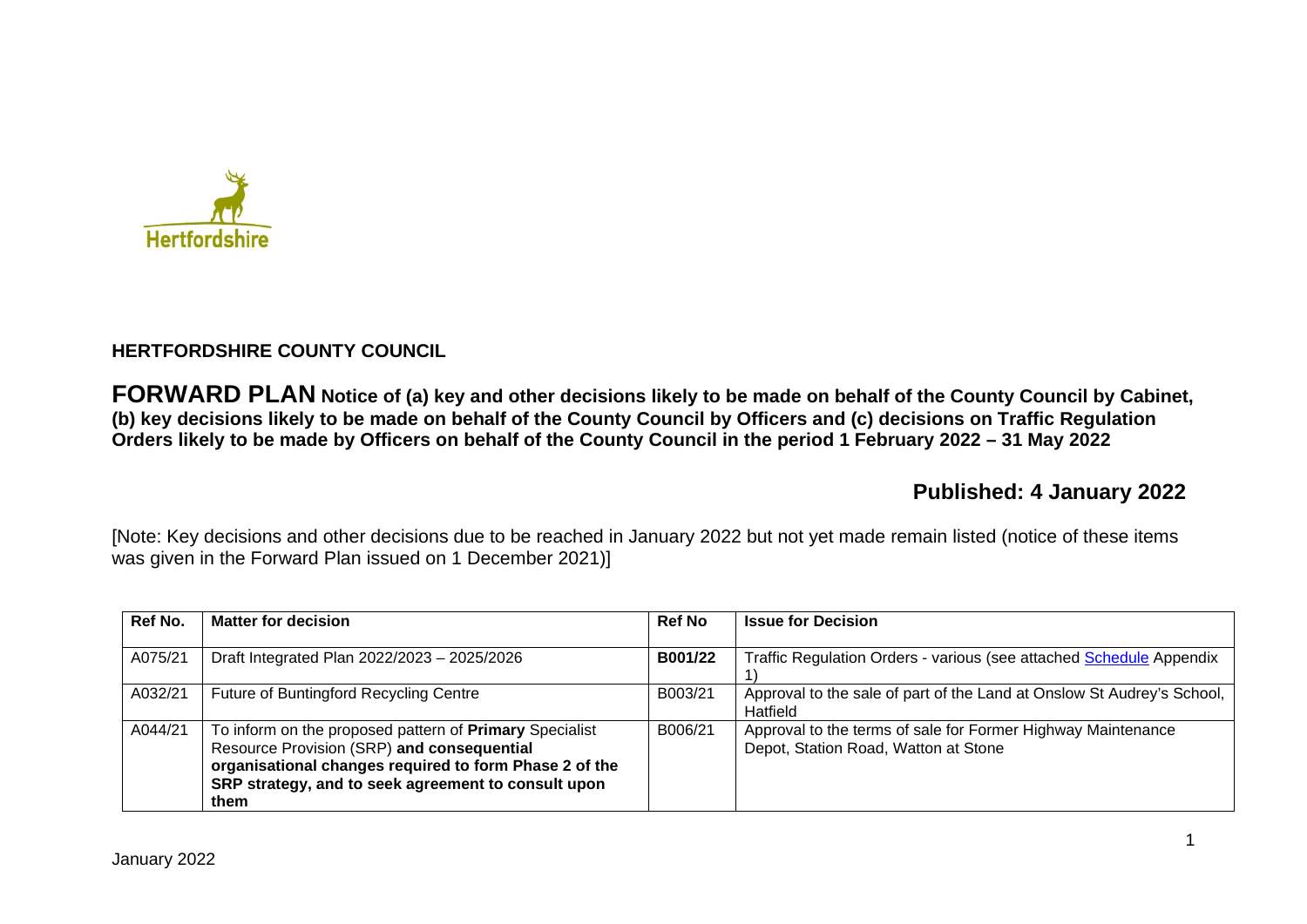

# **HERTFORDSHIRE COUNTY COUNCIL**

**FORWARD PLAN Notice of (a) key and other decisions likely to be made on behalf of the County Council by Cabinet, (b) key decisions likely to be made on behalf of the County Council by Officers and (c) decisions on Traffic Regulation Orders likely to be made by Officers on behalf of the County Council in the period 1 February 2022 – 31 May 2022** 

# **Published: 4 January 2022**

[Note: Key decisions and other decisions due to be reached in January 2022 but not yet made remain listed (notice of these items was given in the Forward Plan issued on 1 December 2021)]

| Ref No. | <b>Matter for decision</b>                                                                                                                                                                                                     | <b>Ref No</b> | <b>Issue for Decision</b>                                                                            |
|---------|--------------------------------------------------------------------------------------------------------------------------------------------------------------------------------------------------------------------------------|---------------|------------------------------------------------------------------------------------------------------|
| A075/21 | Draft Integrated Plan 2022/2023 - 2025/2026                                                                                                                                                                                    | B001/22       | Traffic Regulation Orders - various (see attached Schedule Appendix                                  |
| A032/21 | Future of Buntingford Recycling Centre                                                                                                                                                                                         | B003/21       | Approval to the sale of part of the Land at Onslow St Audrey's School,<br>Hatfield                   |
| A044/21 | To inform on the proposed pattern of Primary Specialist<br>Resource Provision (SRP) and consequential<br>organisational changes required to form Phase 2 of the<br>SRP strategy, and to seek agreement to consult upon<br>them | B006/21       | Approval to the terms of sale for Former Highway Maintenance<br>Depot, Station Road, Watton at Stone |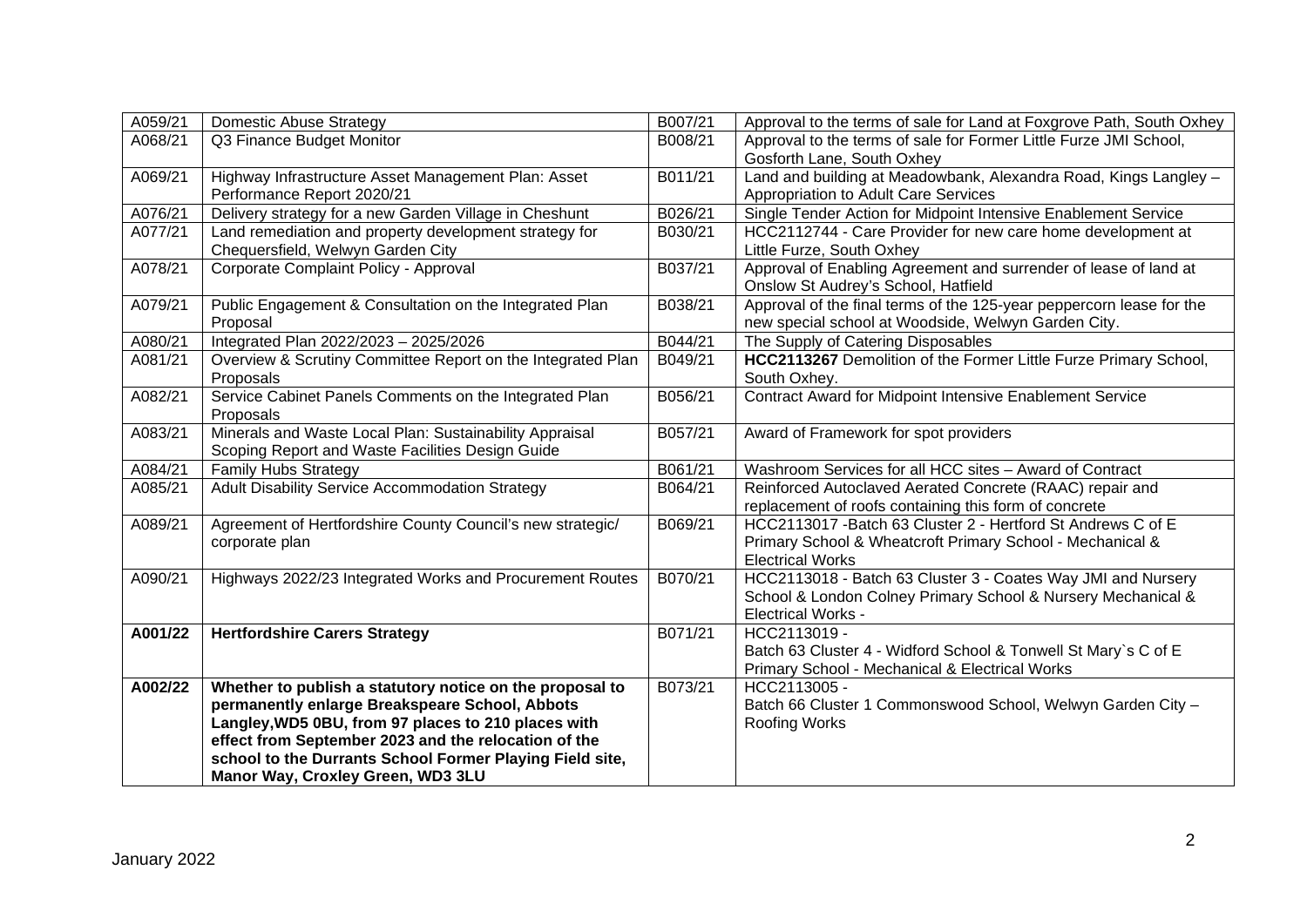| A059/21 | <b>Domestic Abuse Strategy</b>                                      | B007/21 | Approval to the terms of sale for Land at Foxgrove Path, South Oxhey                                    |
|---------|---------------------------------------------------------------------|---------|---------------------------------------------------------------------------------------------------------|
| A068/21 | Q3 Finance Budget Monitor                                           | B008/21 | Approval to the terms of sale for Former Little Furze JMI School,<br>Gosforth Lane, South Oxhey         |
| A069/21 | Highway Infrastructure Asset Management Plan: Asset                 | B011/21 | Land and building at Meadowbank, Alexandra Road, Kings Langley -                                        |
|         | Performance Report 2020/21                                          |         | Appropriation to Adult Care Services                                                                    |
| A076/21 | Delivery strategy for a new Garden Village in Cheshunt              | B026/21 | Single Tender Action for Midpoint Intensive Enablement Service                                          |
| A077/21 | Land remediation and property development strategy for              | B030/21 | HCC2112744 - Care Provider for new care home development at                                             |
|         | Chequersfield, Welwyn Garden City                                   |         | Little Furze, South Oxhey                                                                               |
| A078/21 | Corporate Complaint Policy - Approval                               | B037/21 | Approval of Enabling Agreement and surrender of lease of land at<br>Onslow St Audrey's School, Hatfield |
| A079/21 | Public Engagement & Consultation on the Integrated Plan             | B038/21 | Approval of the final terms of the 125-year peppercorn lease for the                                    |
|         | Proposal                                                            |         | new special school at Woodside, Welwyn Garden City.                                                     |
| A080/21 | Integrated Plan 2022/2023 - 2025/2026                               | B044/21 | The Supply of Catering Disposables                                                                      |
| A081/21 | Overview & Scrutiny Committee Report on the Integrated Plan         | B049/21 | HCC2113267 Demolition of the Former Little Furze Primary School,                                        |
|         | Proposals                                                           |         | South Oxhey.                                                                                            |
| A082/21 | Service Cabinet Panels Comments on the Integrated Plan<br>Proposals | B056/21 | <b>Contract Award for Midpoint Intensive Enablement Service</b>                                         |
| A083/21 | Minerals and Waste Local Plan: Sustainability Appraisal             | B057/21 | Award of Framework for spot providers                                                                   |
|         | Scoping Report and Waste Facilities Design Guide                    |         |                                                                                                         |
| A084/21 | <b>Family Hubs Strategy</b>                                         | B061/21 | Washroom Services for all HCC sites - Award of Contract                                                 |
| A085/21 | Adult Disability Service Accommodation Strategy                     | B064/21 | Reinforced Autoclaved Aerated Concrete (RAAC) repair and                                                |
|         |                                                                     |         | replacement of roofs containing this form of concrete                                                   |
| A089/21 | Agreement of Hertfordshire County Council's new strategic/          | B069/21 | HCC2113017 - Batch 63 Cluster 2 - Hertford St Andrews C of E                                            |
|         | corporate plan                                                      |         | Primary School & Wheatcroft Primary School - Mechanical &                                               |
|         |                                                                     |         | <b>Electrical Works</b>                                                                                 |
| A090/21 | Highways 2022/23 Integrated Works and Procurement Routes            | B070/21 | HCC2113018 - Batch 63 Cluster 3 - Coates Way JMI and Nursery                                            |
|         |                                                                     |         | School & London Colney Primary School & Nursery Mechanical &                                            |
|         |                                                                     |         | <b>Electrical Works -</b>                                                                               |
| A001/22 | <b>Hertfordshire Carers Strategy</b>                                | B071/21 | HCC2113019 -                                                                                            |
|         |                                                                     |         | Batch 63 Cluster 4 - Widford School & Tonwell St Mary's C of E                                          |
|         |                                                                     |         | Primary School - Mechanical & Electrical Works                                                          |
| A002/22 | Whether to publish a statutory notice on the proposal to            | B073/21 | HCC2113005 -                                                                                            |
|         | permanently enlarge Breakspeare School, Abbots                      |         | Batch 66 Cluster 1 Commonswood School, Welwyn Garden City -                                             |
|         | Langley, WD5 0BU, from 97 places to 210 places with                 |         | Roofing Works                                                                                           |
|         | effect from September 2023 and the relocation of the                |         |                                                                                                         |
|         | school to the Durrants School Former Playing Field site,            |         |                                                                                                         |
|         | Manor Way, Croxley Green, WD3 3LU                                   |         |                                                                                                         |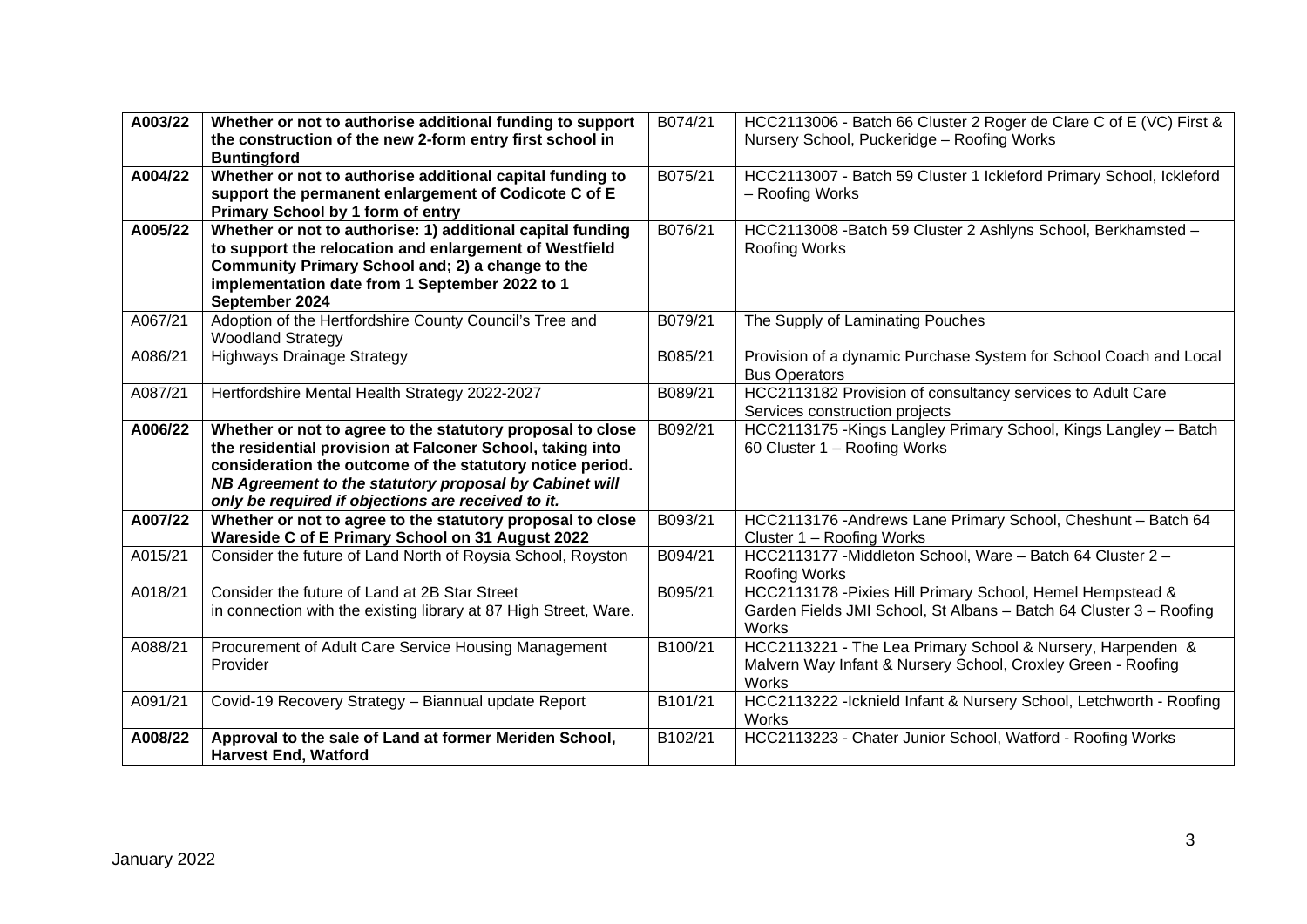| A003/22 | Whether or not to authorise additional funding to support<br>the construction of the new 2-form entry first school in<br><b>Buntingford</b>                                                                                                                                                          | B074/21 | HCC2113006 - Batch 66 Cluster 2 Roger de Clare C of E (VC) First &<br>Nursery School, Puckeridge - Roofing Works                                 |
|---------|------------------------------------------------------------------------------------------------------------------------------------------------------------------------------------------------------------------------------------------------------------------------------------------------------|---------|--------------------------------------------------------------------------------------------------------------------------------------------------|
| A004/22 | Whether or not to authorise additional capital funding to<br>support the permanent enlargement of Codicote C of E<br>Primary School by 1 form of entry                                                                                                                                               | B075/21 | HCC2113007 - Batch 59 Cluster 1 Ickleford Primary School, Ickleford<br>- Roofing Works                                                           |
| A005/22 | Whether or not to authorise: 1) additional capital funding<br>to support the relocation and enlargement of Westfield<br>Community Primary School and; 2) a change to the<br>implementation date from 1 September 2022 to 1<br>September 2024                                                         | B076/21 | HCC2113008 - Batch 59 Cluster 2 Ashlyns School, Berkhamsted -<br><b>Roofing Works</b>                                                            |
| A067/21 | Adoption of the Hertfordshire County Council's Tree and<br><b>Woodland Strategy</b>                                                                                                                                                                                                                  | B079/21 | The Supply of Laminating Pouches                                                                                                                 |
| A086/21 | <b>Highways Drainage Strategy</b>                                                                                                                                                                                                                                                                    | B085/21 | Provision of a dynamic Purchase System for School Coach and Local<br><b>Bus Operators</b>                                                        |
| A087/21 | Hertfordshire Mental Health Strategy 2022-2027                                                                                                                                                                                                                                                       | B089/21 | HCC2113182 Provision of consultancy services to Adult Care<br>Services construction projects                                                     |
| A006/22 | Whether or not to agree to the statutory proposal to close<br>the residential provision at Falconer School, taking into<br>consideration the outcome of the statutory notice period.<br>NB Agreement to the statutory proposal by Cabinet will<br>only be required if objections are received to it. | B092/21 | HCC2113175 - Kings Langley Primary School, Kings Langley - Batch<br>60 Cluster 1 - Roofing Works                                                 |
| A007/22 | Whether or not to agree to the statutory proposal to close<br>Wareside C of E Primary School on 31 August 2022                                                                                                                                                                                       | B093/21 | HCC2113176 - Andrews Lane Primary School, Cheshunt - Batch 64<br>Cluster 1 - Roofing Works                                                       |
| A015/21 | Consider the future of Land North of Roysia School, Royston                                                                                                                                                                                                                                          | B094/21 | HCC2113177 - Middleton School, Ware - Batch 64 Cluster 2 -<br><b>Roofing Works</b>                                                               |
| A018/21 | Consider the future of Land at 2B Star Street<br>in connection with the existing library at 87 High Street, Ware.                                                                                                                                                                                    | B095/21 | HCC2113178 - Pixies Hill Primary School, Hemel Hempstead &<br>Garden Fields JMI School, St Albans - Batch 64 Cluster 3 - Roofing<br><b>Works</b> |
| A088/21 | Procurement of Adult Care Service Housing Management<br>Provider                                                                                                                                                                                                                                     | B100/21 | HCC2113221 - The Lea Primary School & Nursery, Harpenden &<br>Malvern Way Infant & Nursery School, Croxley Green - Roofing<br>Works              |
| A091/21 | Covid-19 Recovery Strategy - Biannual update Report                                                                                                                                                                                                                                                  | B101/21 | HCC2113222 - Icknield Infant & Nursery School, Letchworth - Roofing<br>Works                                                                     |
| A008/22 | Approval to the sale of Land at former Meriden School,<br><b>Harvest End, Watford</b>                                                                                                                                                                                                                | B102/21 | HCC2113223 - Chater Junior School, Watford - Roofing Works                                                                                       |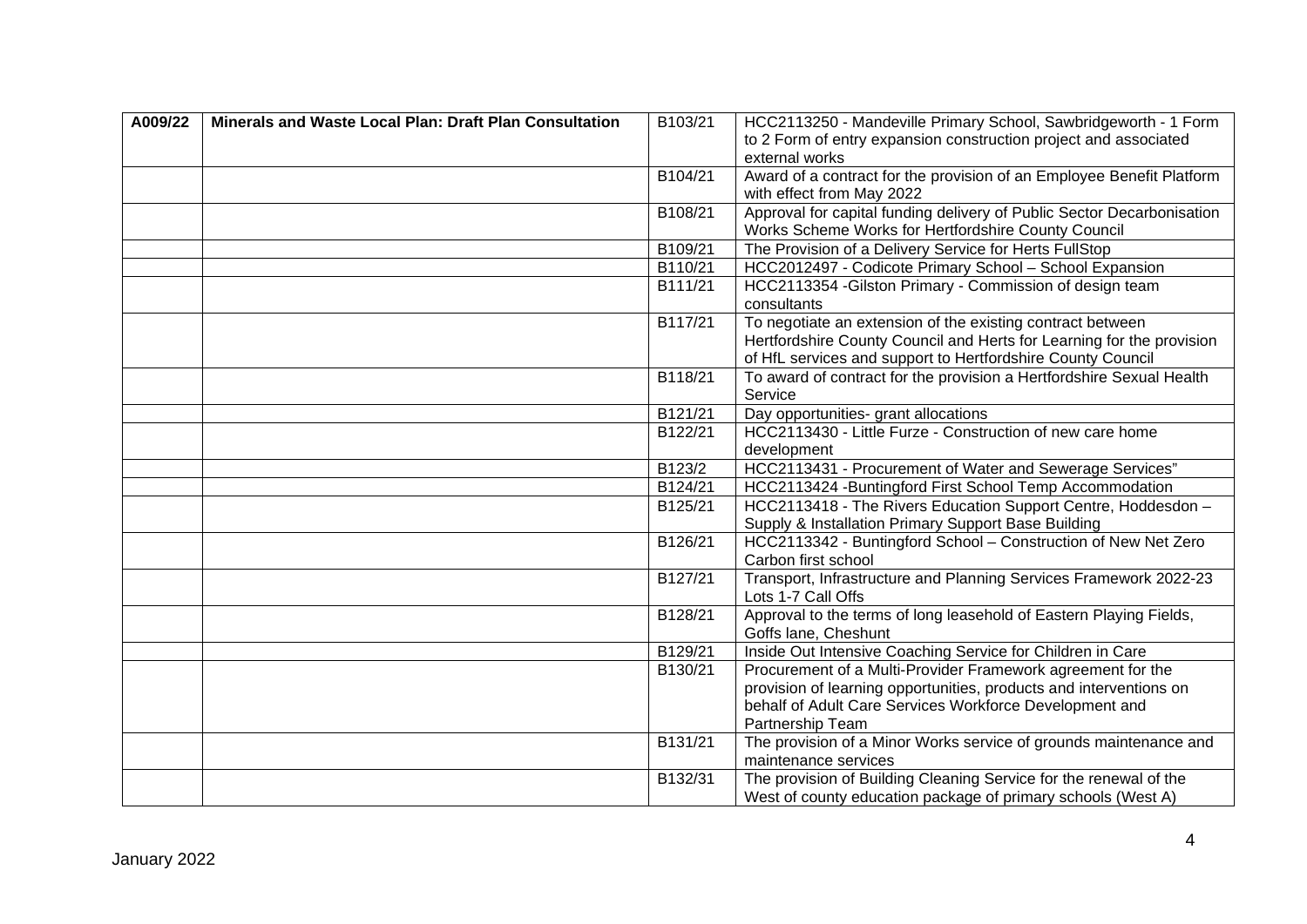| A009/22 | Minerals and Waste Local Plan: Draft Plan Consultation | B103/21 | HCC2113250 - Mandeville Primary School, Sawbridgeworth - 1 Form                         |
|---------|--------------------------------------------------------|---------|-----------------------------------------------------------------------------------------|
|         |                                                        |         | to 2 Form of entry expansion construction project and associated                        |
|         |                                                        |         | external works                                                                          |
|         |                                                        | B104/21 | Award of a contract for the provision of an Employee Benefit Platform                   |
|         |                                                        |         | with effect from May 2022                                                               |
|         |                                                        | B108/21 | Approval for capital funding delivery of Public Sector Decarbonisation                  |
|         |                                                        |         | Works Scheme Works for Hertfordshire County Council                                     |
|         |                                                        | B109/21 | The Provision of a Delivery Service for Herts FullStop                                  |
|         |                                                        | B110/21 | HCC2012497 - Codicote Primary School - School Expansion                                 |
|         |                                                        | B111/21 | HCC2113354 - Gilston Primary - Commission of design team                                |
|         |                                                        |         | consultants                                                                             |
|         |                                                        | B117/21 | To negotiate an extension of the existing contract between                              |
|         |                                                        |         | Hertfordshire County Council and Herts for Learning for the provision                   |
|         |                                                        |         | of HfL services and support to Hertfordshire County Council                             |
|         |                                                        | B118/21 | To award of contract for the provision a Hertfordshire Sexual Health                    |
|         |                                                        |         | Service                                                                                 |
|         |                                                        | B121/21 | Day opportunities- grant allocations                                                    |
|         |                                                        | B122/21 | HCC2113430 - Little Furze - Construction of new care home                               |
|         |                                                        |         | development                                                                             |
|         |                                                        | B123/2  | HCC2113431 - Procurement of Water and Sewerage Services"                                |
|         |                                                        | B124/21 | HCC2113424 - Buntingford First School Temp Accommodation                                |
|         |                                                        | B125/21 | HCC2113418 - The Rivers Education Support Centre, Hoddesdon -                           |
|         |                                                        |         | Supply & Installation Primary Support Base Building                                     |
|         |                                                        | B126/21 | HCC2113342 - Buntingford School - Construction of New Net Zero                          |
|         |                                                        |         | Carbon first school                                                                     |
|         |                                                        | B127/21 | Transport, Infrastructure and Planning Services Framework 2022-23<br>Lots 1-7 Call Offs |
|         |                                                        | B128/21 | Approval to the terms of long leasehold of Eastern Playing Fields,                      |
|         |                                                        |         | Goffs lane, Cheshunt                                                                    |
|         |                                                        | B129/21 | Inside Out Intensive Coaching Service for Children in Care                              |
|         |                                                        | B130/21 | Procurement of a Multi-Provider Framework agreement for the                             |
|         |                                                        |         | provision of learning opportunities, products and interventions on                      |
|         |                                                        |         | behalf of Adult Care Services Workforce Development and                                 |
|         |                                                        |         | Partnership Team                                                                        |
|         |                                                        | B131/21 | The provision of a Minor Works service of grounds maintenance and                       |
|         |                                                        |         | maintenance services                                                                    |
|         |                                                        | B132/31 | The provision of Building Cleaning Service for the renewal of the                       |
|         |                                                        |         | West of county education package of primary schools (West A)                            |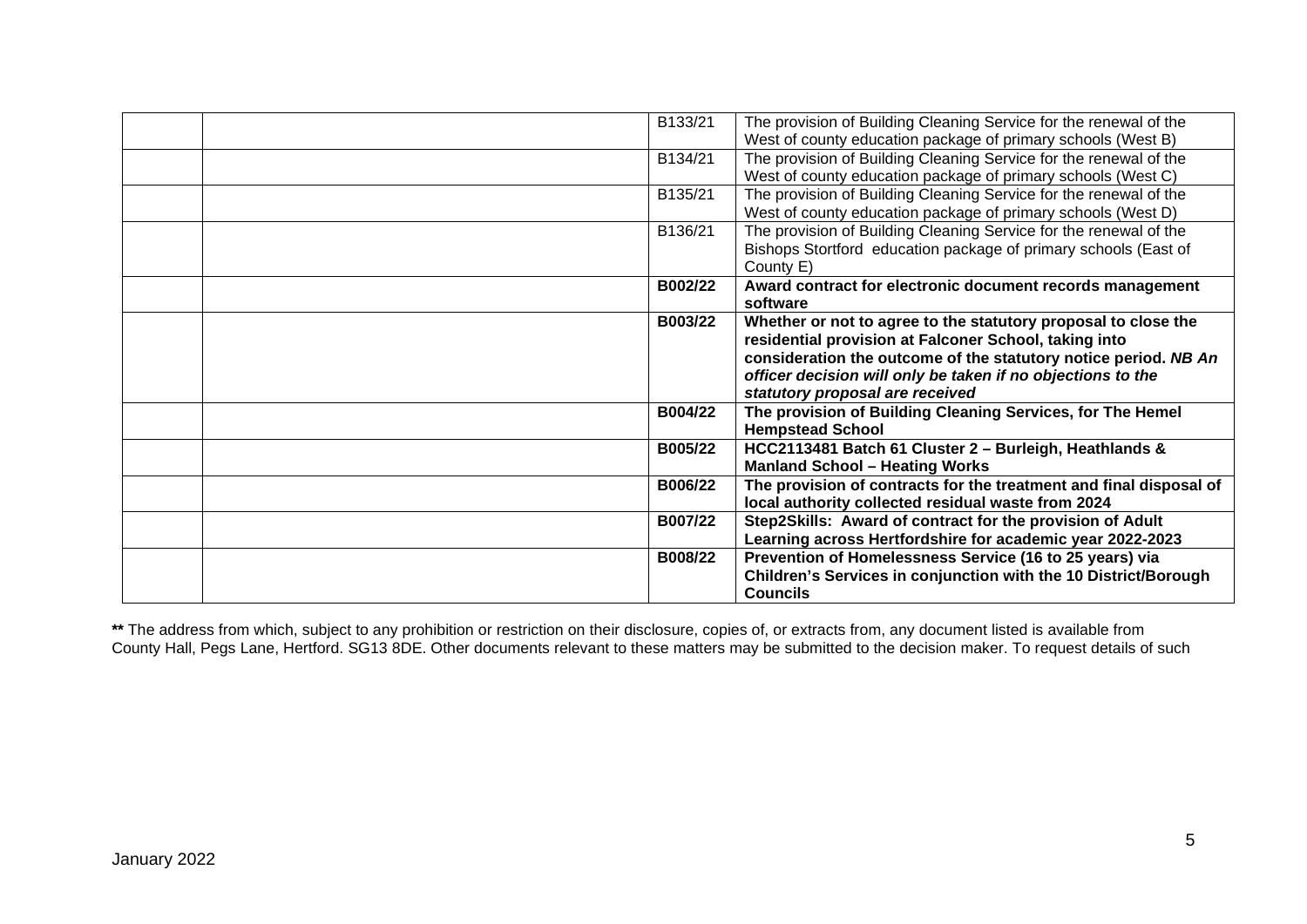| B133/21 | The provision of Building Cleaning Service for the renewal of the<br>West of county education package of primary schools (West B)                                                                                                                                                            |
|---------|----------------------------------------------------------------------------------------------------------------------------------------------------------------------------------------------------------------------------------------------------------------------------------------------|
| B134/21 | The provision of Building Cleaning Service for the renewal of the<br>West of county education package of primary schools (West C)                                                                                                                                                            |
| B135/21 | The provision of Building Cleaning Service for the renewal of the<br>West of county education package of primary schools (West D)                                                                                                                                                            |
| B136/21 | The provision of Building Cleaning Service for the renewal of the<br>Bishops Stortford education package of primary schools (East of<br>County E)                                                                                                                                            |
| B002/22 | Award contract for electronic document records management<br>software                                                                                                                                                                                                                        |
| B003/22 | Whether or not to agree to the statutory proposal to close the<br>residential provision at Falconer School, taking into<br>consideration the outcome of the statutory notice period. NB An<br>officer decision will only be taken if no objections to the<br>statutory proposal are received |
| B004/22 | The provision of Building Cleaning Services, for The Hemel<br><b>Hempstead School</b>                                                                                                                                                                                                        |
| B005/22 | HCC2113481 Batch 61 Cluster 2 - Burleigh, Heathlands &<br><b>Manland School - Heating Works</b>                                                                                                                                                                                              |
| B006/22 | The provision of contracts for the treatment and final disposal of<br>local authority collected residual waste from 2024                                                                                                                                                                     |
| B007/22 | Step2Skills: Award of contract for the provision of Adult<br>Learning across Hertfordshire for academic year 2022-2023                                                                                                                                                                       |
| B008/22 | Prevention of Homelessness Service (16 to 25 years) via<br>Children's Services in conjunction with the 10 District/Borough<br><b>Councils</b>                                                                                                                                                |

**\*\*** The address from which, subject to any prohibition or restriction on their disclosure, copies of, or extracts from, any document listed is available from County Hall, Pegs Lane, Hertford. SG13 8DE. Other documents relevant to these matters may be submitted to the decision maker. To request details of such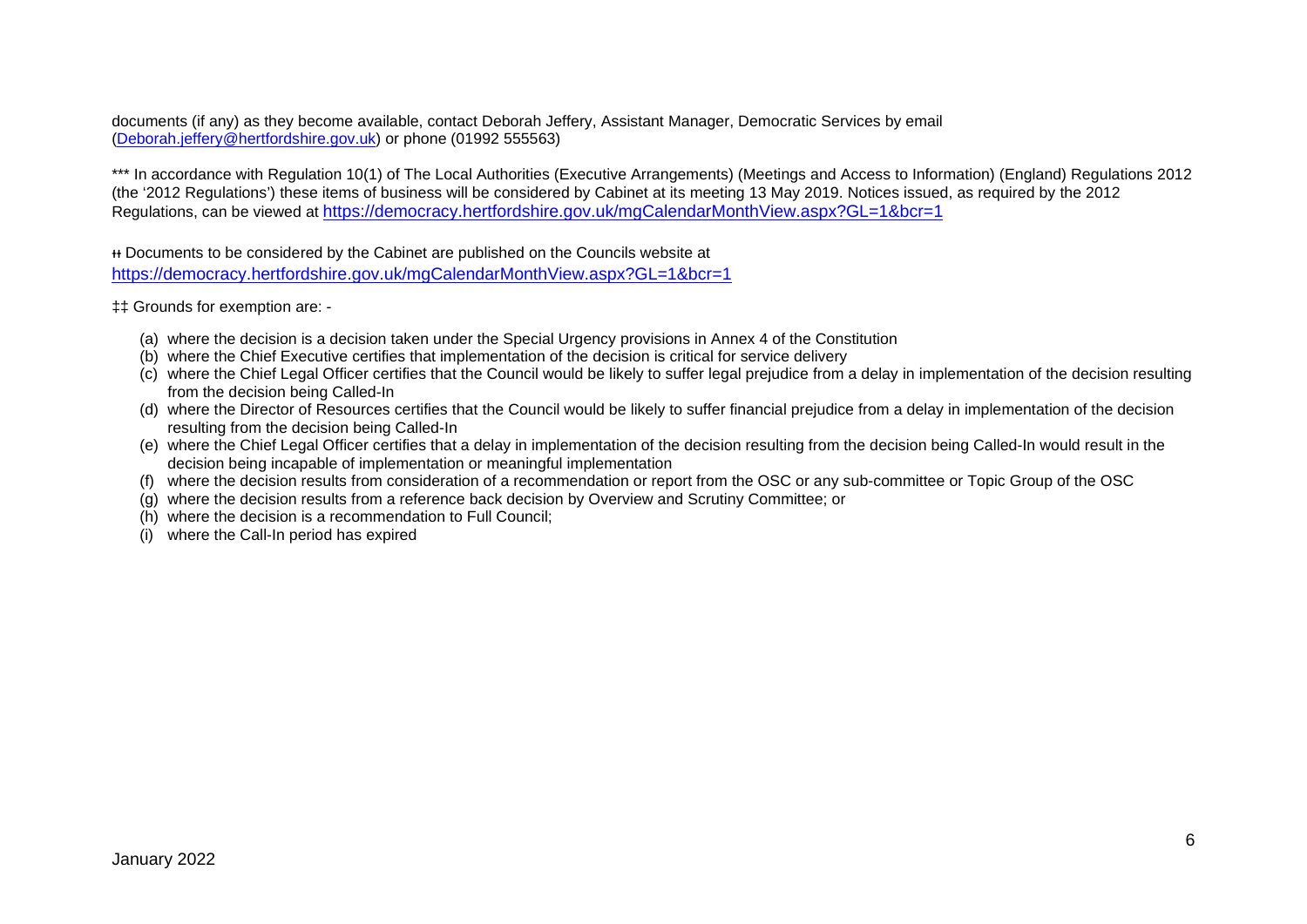documents (if any) as they become available, contact Deborah Jeffery, Assistant Manager, Democratic Services by email [\(Deborah.jeffery@hertfordshire.gov.uk\)](mailto:Deborah.jeffery@hertfordshire.gov.uk) or phone (01992 555563)

\*\*\* In accordance with Regulation 10(1) of The Local Authorities (Executive Arrangements) (Meetings and Access to Information) (England) Regulations 2012 (the '2012 Regulations') these items of business will be considered by Cabinet at its meeting 13 May 2019. Notices issued, as required by the 2012 Regulations, can be viewed at <https://democracy.hertfordshire.gov.uk/mgCalendarMonthView.aspx?GL=1&bcr=1>

ᵻᵻ Documents to be considered by the Cabinet are published on the Councils website at <https://democracy.hertfordshire.gov.uk/mgCalendarMonthView.aspx?GL=1&bcr=1>

‡‡ Grounds for exemption are: -

- (a) where the decision is a decision taken under the Special Urgency provisions in Annex 4 of the Constitution
- (b) where the Chief Executive certifies that implementation of the decision is critical for service delivery
- (c) where the Chief Legal Officer certifies that the Council would be likely to suffer legal prejudice from a delay in implementation of the decision resulting from the decision being Called-In
- (d) where the Director of Resources certifies that the Council would be likely to suffer financial prejudice from a delay in implementation of the decision resulting from the decision being Called-In
- (e) where the Chief Legal Officer certifies that a delay in implementation of the decision resulting from the decision being Called-In would result in the decision being incapable of implementation or meaningful implementation
- (f) where the decision results from consideration of a recommendation or report from the OSC or any sub-committee or Topic Group of the OSC
- (g) where the decision results from a reference back decision by Overview and Scrutiny Committee; or
- (h) where the decision is a recommendation to Full Council;
- (i) where the Call-In period has expired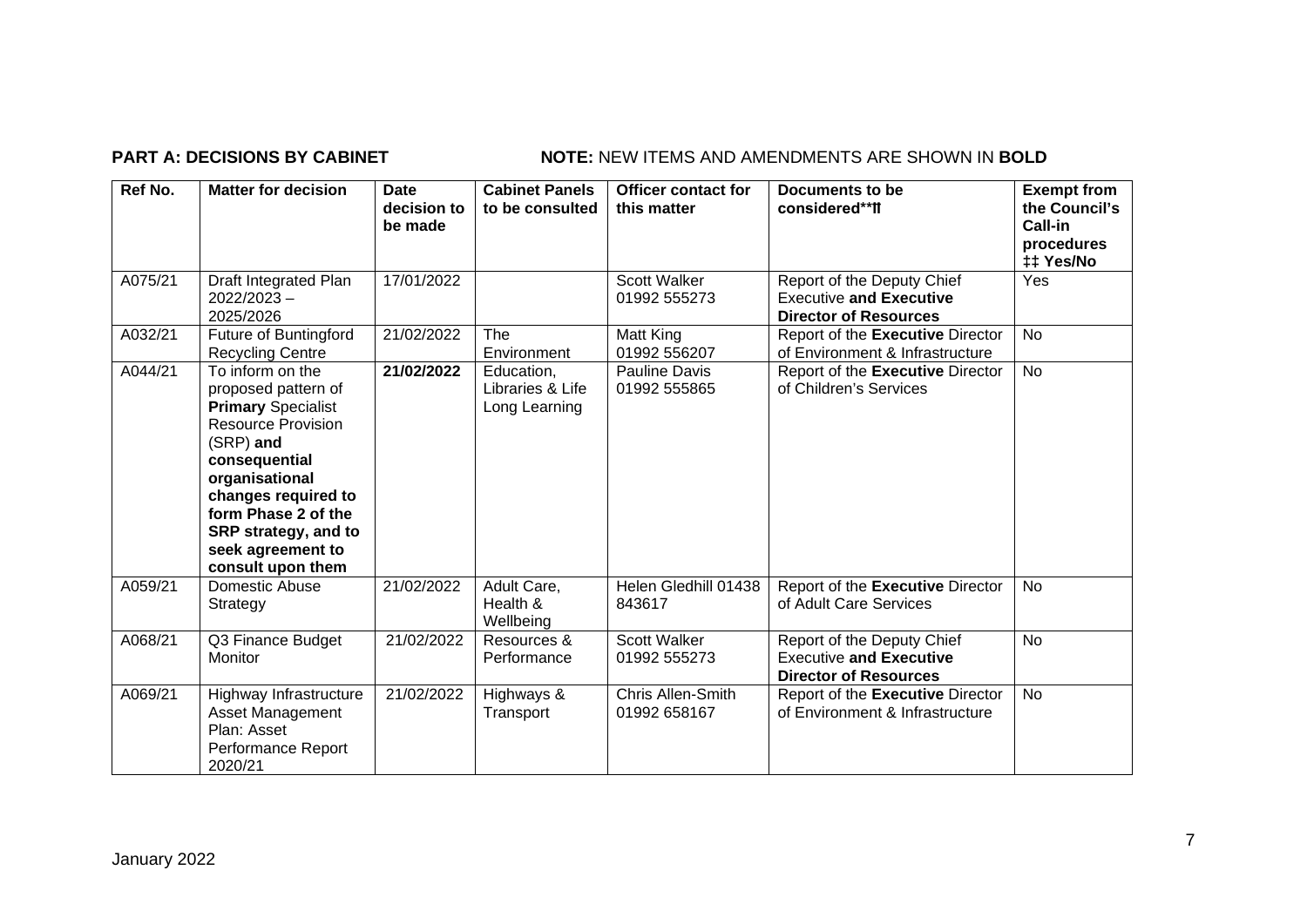## **PART A: DECISIONS BY CABINET NOTE:** NEW ITEMS AND AMENDMENTS ARE SHOWN IN BOLD

| Ref No. | <b>Matter for decision</b>                                                                                                                                                                                                                                        | <b>Date</b><br>decision to<br>be made | <b>Cabinet Panels</b><br>to be consulted        | <b>Officer contact for</b><br>this matter | <b>Documents to be</b><br>considered**ff                                                     | <b>Exempt from</b><br>the Council's<br>Call-in<br>procedures<br>## Yes/No |
|---------|-------------------------------------------------------------------------------------------------------------------------------------------------------------------------------------------------------------------------------------------------------------------|---------------------------------------|-------------------------------------------------|-------------------------------------------|----------------------------------------------------------------------------------------------|---------------------------------------------------------------------------|
| A075/21 | Draft Integrated Plan<br>$2022/2023 -$<br>2025/2026                                                                                                                                                                                                               | 17/01/2022                            |                                                 | Scott Walker<br>01992 555273              | Report of the Deputy Chief<br><b>Executive and Executive</b><br><b>Director of Resources</b> | Yes                                                                       |
| A032/21 | Future of Buntingford<br><b>Recycling Centre</b>                                                                                                                                                                                                                  | 21/02/2022                            | <b>The</b><br>Environment                       | Matt King<br>01992 556207                 | Report of the Executive Director<br>of Environment & Infrastructure                          | <b>No</b>                                                                 |
| A044/21 | To inform on the<br>proposed pattern of<br><b>Primary Specialist</b><br><b>Resource Provision</b><br>(SRP) and<br>consequential<br>organisational<br>changes required to<br>form Phase 2 of the<br>SRP strategy, and to<br>seek agreement to<br>consult upon them | 21/02/2022                            | Education,<br>Libraries & Life<br>Long Learning | Pauline Davis<br>01992 555865             | Report of the Executive Director<br>of Children's Services                                   | <b>No</b>                                                                 |
| A059/21 | Domestic Abuse<br>Strategy                                                                                                                                                                                                                                        | 21/02/2022                            | Adult Care,<br>Health &<br>Wellbeing            | Helen Gledhill 01438<br>843617            | Report of the Executive Director<br>of Adult Care Services                                   | <b>No</b>                                                                 |
| A068/21 | Q3 Finance Budget<br>Monitor                                                                                                                                                                                                                                      | 21/02/2022                            | Resources &<br>Performance                      | <b>Scott Walker</b><br>01992 555273       | Report of the Deputy Chief<br><b>Executive and Executive</b><br><b>Director of Resources</b> | <b>No</b>                                                                 |
| A069/21 | Highway Infrastructure<br><b>Asset Management</b><br>Plan: Asset<br>Performance Report<br>2020/21                                                                                                                                                                 | 21/02/2022                            | Highways &<br>Transport                         | Chris Allen-Smith<br>01992 658167         | Report of the Executive Director<br>of Environment & Infrastructure                          | <b>No</b>                                                                 |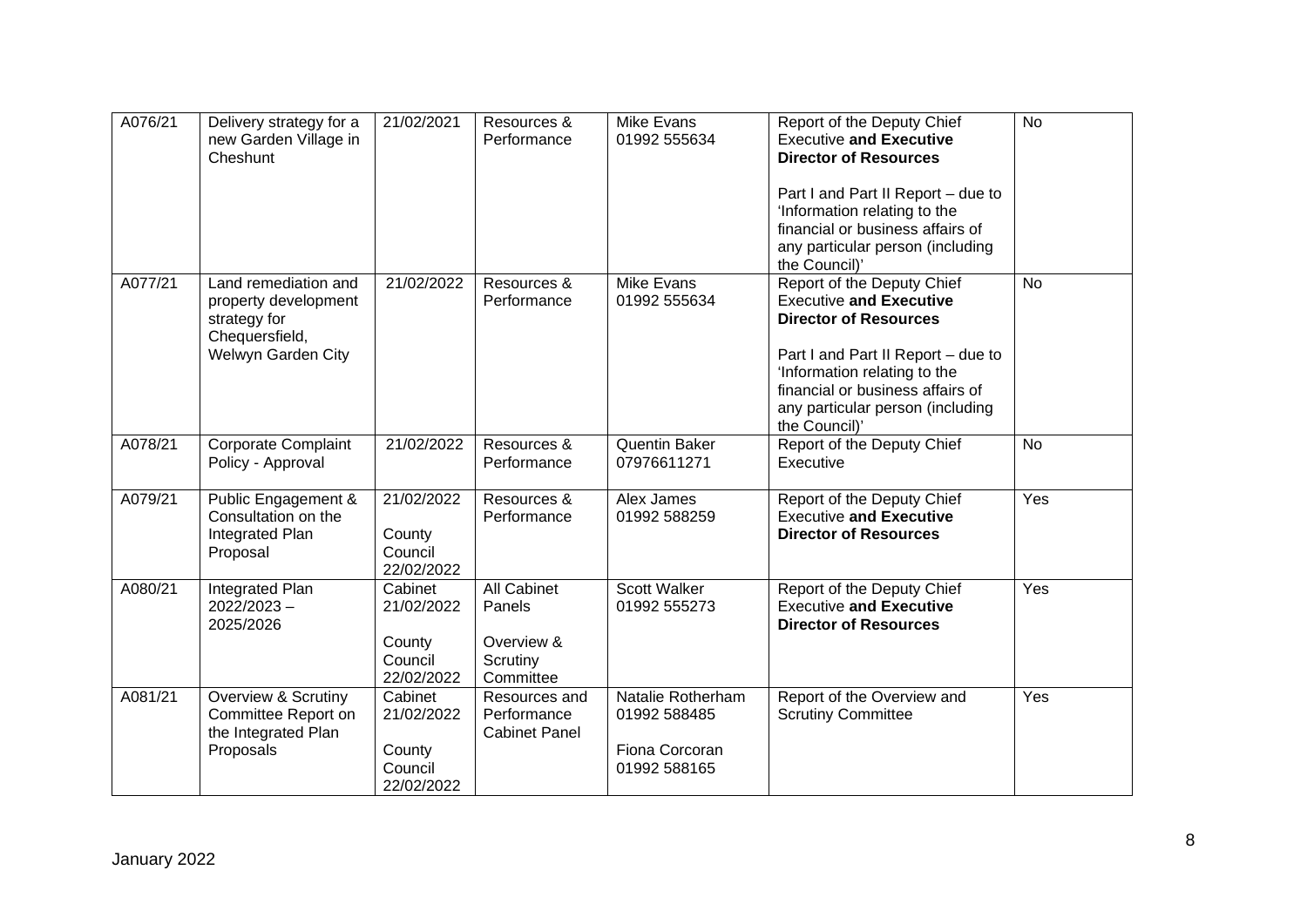| A076/21 | Delivery strategy for a<br>new Garden Village in<br>Cheshunt                                         | 21/02/2021                                               | Resources &<br>Performance                                          | <b>Mike Evans</b><br>01992 555634                                   | Report of the Deputy Chief<br><b>Executive and Executive</b><br><b>Director of Resources</b><br>Part I and Part II Report - due to<br>'Information relating to the<br>financial or business affairs of<br>any particular person (including                                   | <b>No</b> |
|---------|------------------------------------------------------------------------------------------------------|----------------------------------------------------------|---------------------------------------------------------------------|---------------------------------------------------------------------|------------------------------------------------------------------------------------------------------------------------------------------------------------------------------------------------------------------------------------------------------------------------------|-----------|
| A077/21 | Land remediation and<br>property development<br>strategy for<br>Chequersfield,<br>Welwyn Garden City | 21/02/2022                                               | Resources &<br>Performance                                          | <b>Mike Evans</b><br>01992 555634                                   | the Council)'<br>Report of the Deputy Chief<br><b>Executive and Executive</b><br><b>Director of Resources</b><br>Part I and Part II Report - due to<br>'Information relating to the<br>financial or business affairs of<br>any particular person (including<br>the Council)' | <b>No</b> |
| A078/21 | <b>Corporate Complaint</b><br>Policy - Approval                                                      | 21/02/2022                                               | Resources &<br>Performance                                          | <b>Quentin Baker</b><br>07976611271                                 | Report of the Deputy Chief<br>Executive                                                                                                                                                                                                                                      | <b>No</b> |
| A079/21 | Public Engagement &<br>Consultation on the<br>Integrated Plan<br>Proposal                            | 21/02/2022<br>County<br>Council<br>22/02/2022            | Resources &<br>Performance                                          | Alex James<br>01992 588259                                          | Report of the Deputy Chief<br><b>Executive and Executive</b><br><b>Director of Resources</b>                                                                                                                                                                                 | Yes       |
| A080/21 | Integrated Plan<br>$2022/2023 -$<br>2025/2026                                                        | Cabinet<br>21/02/2022<br>County<br>Council<br>22/02/2022 | <b>All Cabinet</b><br>Panels<br>Overview &<br>Scrutiny<br>Committee | Scott Walker<br>01992 555273                                        | Report of the Deputy Chief<br><b>Executive and Executive</b><br><b>Director of Resources</b>                                                                                                                                                                                 | Yes       |
| A081/21 | Overview & Scrutiny<br>Committee Report on<br>the Integrated Plan<br>Proposals                       | Cabinet<br>21/02/2022<br>County<br>Council<br>22/02/2022 | Resources and<br>Performance<br><b>Cabinet Panel</b>                | Natalie Rotherham<br>01992 588485<br>Fiona Corcoran<br>01992 588165 | Report of the Overview and<br><b>Scrutiny Committee</b>                                                                                                                                                                                                                      | Yes       |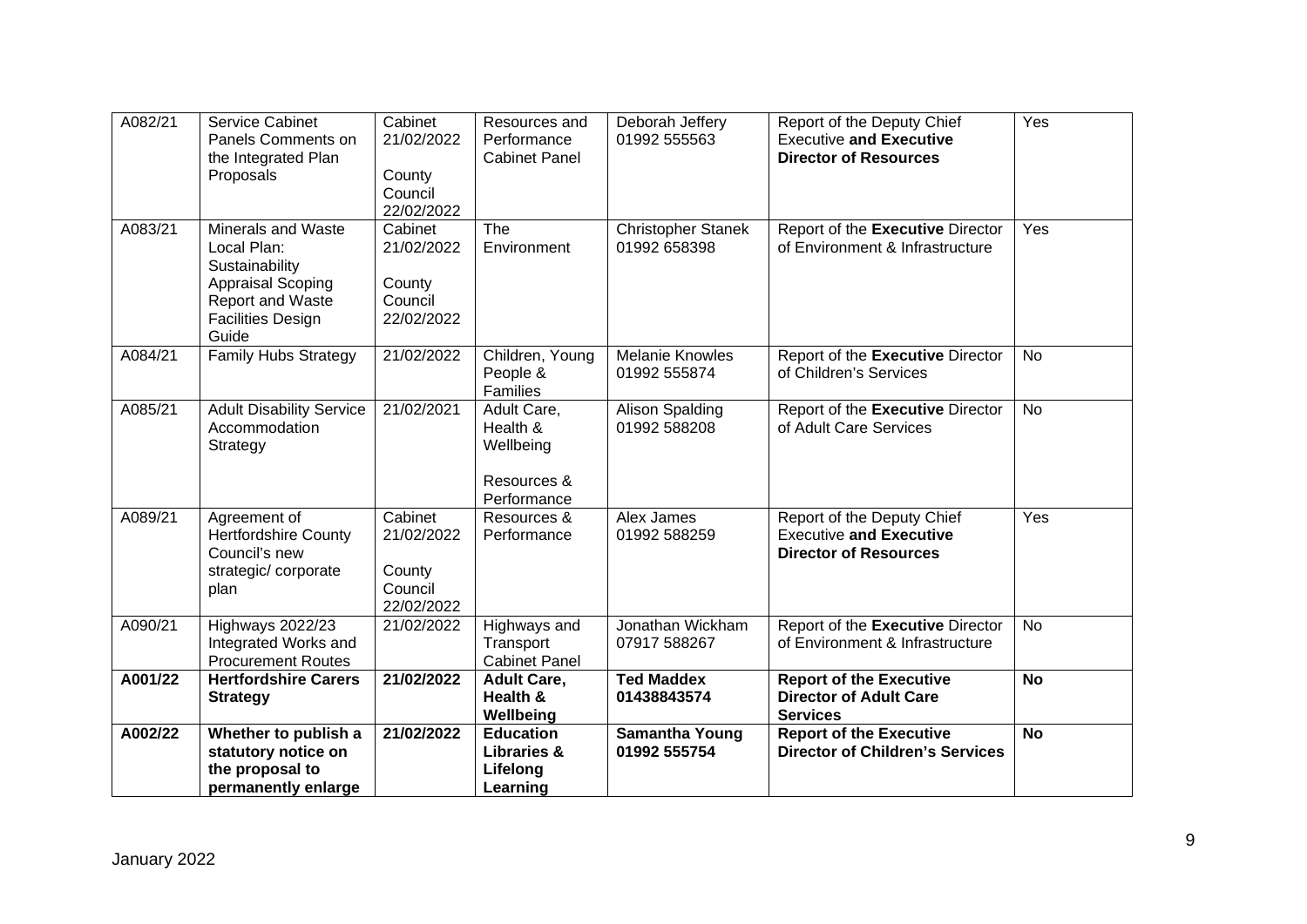| A082/21 | Service Cabinet<br>Panels Comments on<br>the Integrated Plan<br>Proposals                                                                | Cabinet<br>21/02/2022<br>County<br>Council<br>22/02/2022 | Resources and<br>Performance<br><b>Cabinet Panel</b>               | Deborah Jeffery<br>01992 555563           | Report of the Deputy Chief<br><b>Executive and Executive</b><br><b>Director of Resources</b> | Yes       |
|---------|------------------------------------------------------------------------------------------------------------------------------------------|----------------------------------------------------------|--------------------------------------------------------------------|-------------------------------------------|----------------------------------------------------------------------------------------------|-----------|
| A083/21 | Minerals and Waste<br>Local Plan:<br>Sustainability<br><b>Appraisal Scoping</b><br>Report and Waste<br><b>Facilities Design</b><br>Guide | Cabinet<br>21/02/2022<br>County<br>Council<br>22/02/2022 | The<br>Environment                                                 | <b>Christopher Stanek</b><br>01992 658398 | Report of the Executive Director<br>of Environment & Infrastructure                          | Yes       |
| A084/21 | <b>Family Hubs Strategy</b>                                                                                                              | 21/02/2022                                               | Children, Young<br>People &<br>Families                            | <b>Melanie Knowles</b><br>01992 555874    | Report of the Executive Director<br>of Children's Services                                   | <b>No</b> |
| A085/21 | <b>Adult Disability Service</b><br>Accommodation<br>Strategy                                                                             | 21/02/2021                                               | Adult Care,<br>Health &<br>Wellbeing<br>Resources &<br>Performance | <b>Alison Spalding</b><br>01992 588208    | Report of the Executive Director<br>of Adult Care Services                                   | <b>No</b> |
| A089/21 | Agreement of<br><b>Hertfordshire County</b><br>Council's new<br>strategic/corporate<br>plan                                              | Cabinet<br>21/02/2022<br>County<br>Council<br>22/02/2022 | Resources &<br>Performance                                         | Alex James<br>01992 588259                | Report of the Deputy Chief<br><b>Executive and Executive</b><br><b>Director of Resources</b> | Yes       |
| A090/21 | Highways 2022/23<br>Integrated Works and<br><b>Procurement Routes</b>                                                                    | 21/02/2022                                               | Highways and<br>Transport<br><b>Cabinet Panel</b>                  | Jonathan Wickham<br>07917 588267          | Report of the Executive Director<br>of Environment & Infrastructure                          | <b>No</b> |
| A001/22 | <b>Hertfordshire Carers</b><br><b>Strategy</b>                                                                                           | 21/02/2022                                               | <b>Adult Care,</b><br>Health &<br>Wellbeing                        | <b>Ted Maddex</b><br>01438843574          | <b>Report of the Executive</b><br><b>Director of Adult Care</b><br><b>Services</b>           | <b>No</b> |
| A002/22 | Whether to publish a<br>statutory notice on<br>the proposal to<br>permanently enlarge                                                    | 21/02/2022                                               | <b>Education</b><br><b>Libraries &amp;</b><br>Lifelong<br>Learning | <b>Samantha Young</b><br>01992 555754     | <b>Report of the Executive</b><br><b>Director of Children's Services</b>                     | <b>No</b> |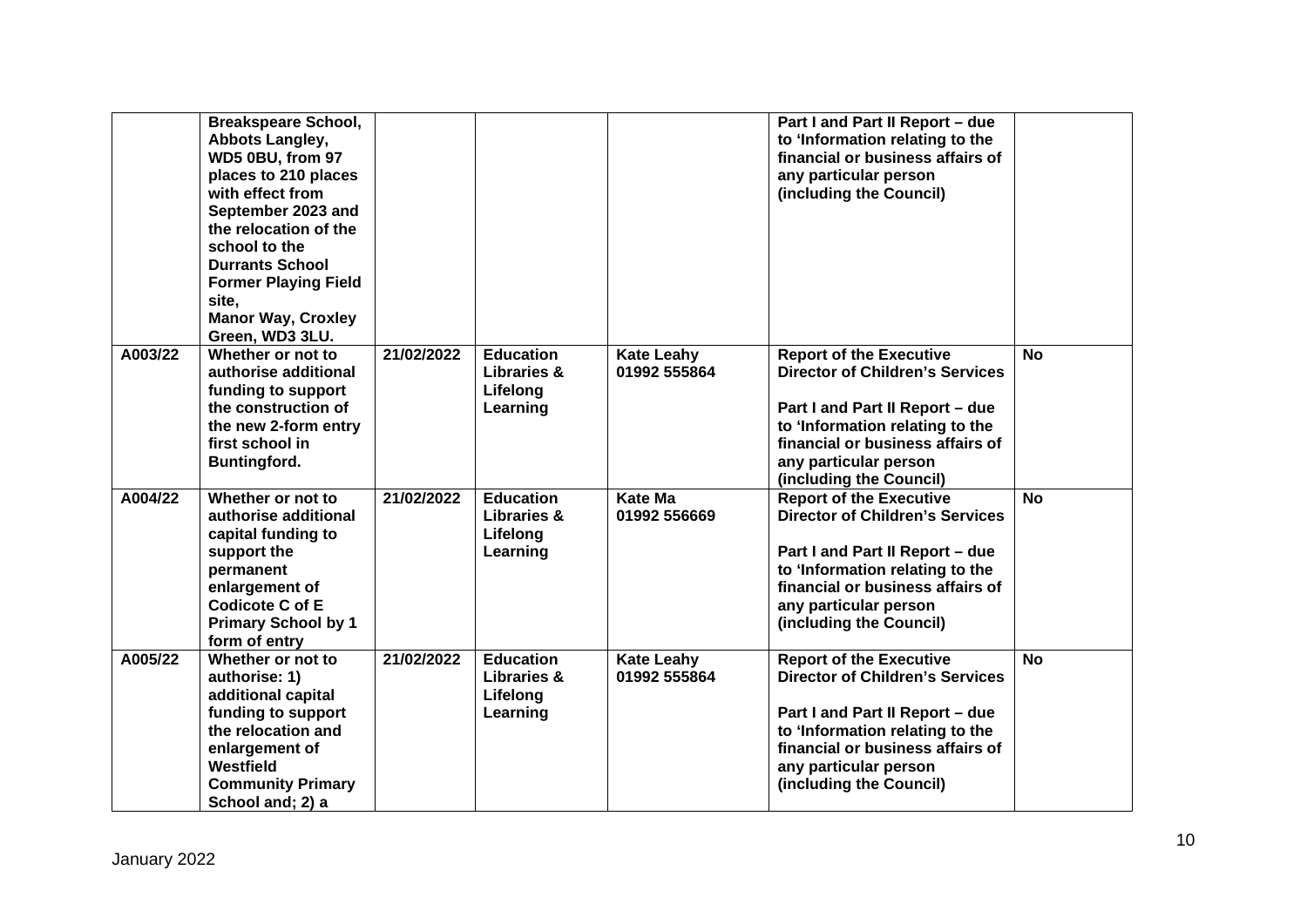|         | <b>Breakspeare School,</b><br>Abbots Langley,<br>WD5 0BU, from 97<br>places to 210 places<br>with effect from<br>September 2023 and<br>the relocation of the<br>school to the<br><b>Durrants School</b><br><b>Former Playing Field</b><br>site,<br><b>Manor Way, Croxley</b><br>Green, WD3 3LU. |            |                                                                    |                                   | Part I and Part II Report - due<br>to 'Information relating to the<br>financial or business affairs of<br>any particular person<br>(including the Council)                                                                             |           |
|---------|-------------------------------------------------------------------------------------------------------------------------------------------------------------------------------------------------------------------------------------------------------------------------------------------------|------------|--------------------------------------------------------------------|-----------------------------------|----------------------------------------------------------------------------------------------------------------------------------------------------------------------------------------------------------------------------------------|-----------|
| A003/22 | Whether or not to<br>authorise additional<br>funding to support<br>the construction of<br>the new 2-form entry<br>first school in<br><b>Buntingford.</b>                                                                                                                                        | 21/02/2022 | <b>Education</b><br>Libraries &<br>Lifelong<br>Learning            | <b>Kate Leahy</b><br>01992 555864 | <b>Report of the Executive</b><br><b>Director of Children's Services</b><br>Part I and Part II Report - due<br>to 'Information relating to the<br>financial or business affairs of<br>any particular person<br>(including the Council) | No        |
| A004/22 | Whether or not to<br>authorise additional<br>capital funding to<br>support the<br>permanent<br>enlargement of<br><b>Codicote C of E</b><br><b>Primary School by 1</b><br>form of entry                                                                                                          | 21/02/2022 | <b>Education</b><br><b>Libraries &amp;</b><br>Lifelong<br>Learning | <b>Kate Ma</b><br>01992 556669    | <b>Report of the Executive</b><br><b>Director of Children's Services</b><br>Part I and Part II Report - due<br>to 'Information relating to the<br>financial or business affairs of<br>any particular person<br>(including the Council) | <b>No</b> |
| A005/22 | Whether or not to<br>authorise: 1)<br>additional capital<br>funding to support<br>the relocation and<br>enlargement of<br>Westfield<br><b>Community Primary</b><br>School and; 2) a                                                                                                             | 21/02/2022 | <b>Education</b><br>Libraries &<br>Lifelong<br>Learning            | <b>Kate Leahy</b><br>01992 555864 | <b>Report of the Executive</b><br><b>Director of Children's Services</b><br>Part I and Part II Report - due<br>to 'Information relating to the<br>financial or business affairs of<br>any particular person<br>(including the Council) | <b>No</b> |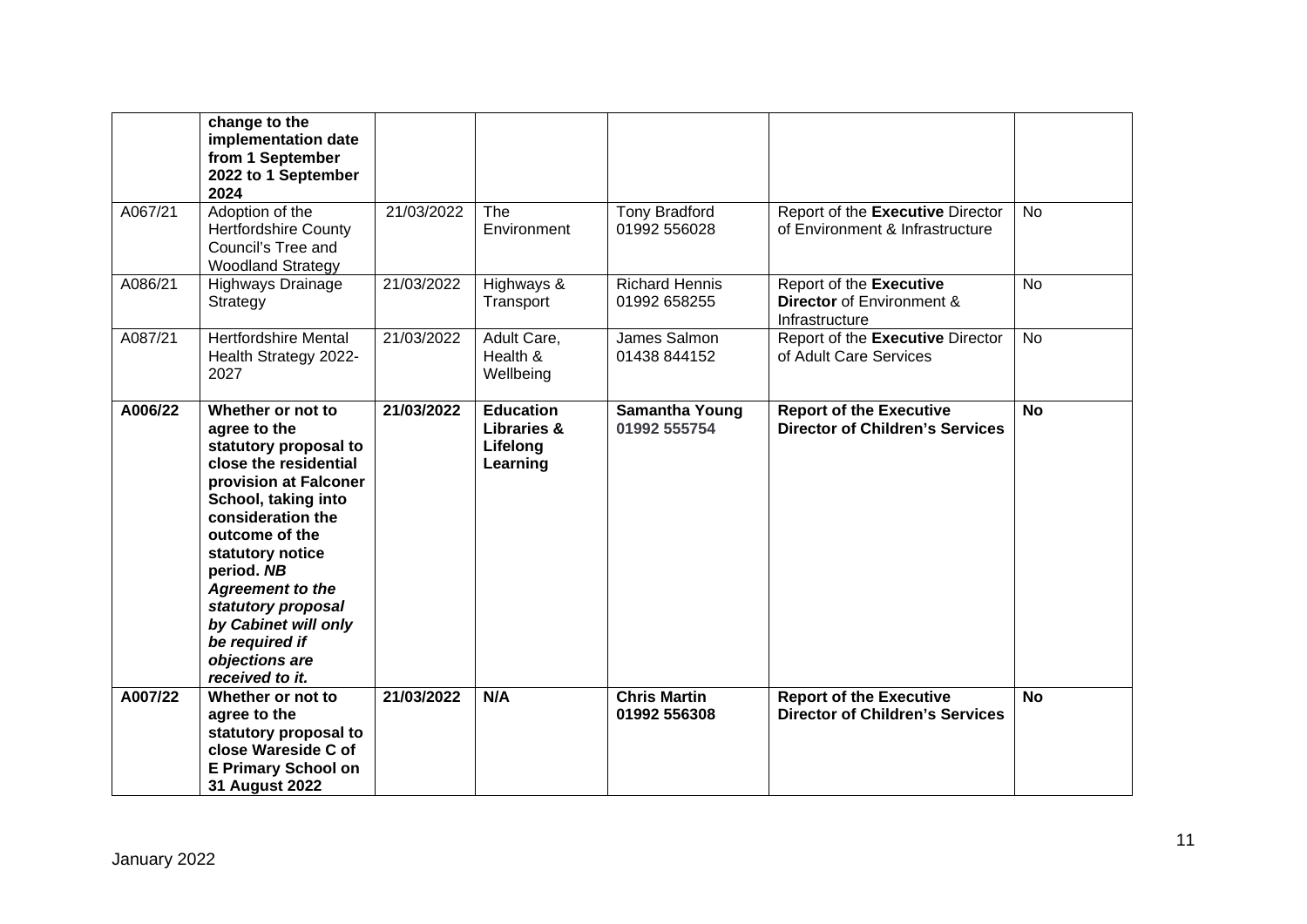|         | change to the<br>implementation date<br>from 1 September<br>2022 to 1 September<br>2024                                                                                                                                                                                                                                                      |            |                                                                    |                                       |                                                                          |           |
|---------|----------------------------------------------------------------------------------------------------------------------------------------------------------------------------------------------------------------------------------------------------------------------------------------------------------------------------------------------|------------|--------------------------------------------------------------------|---------------------------------------|--------------------------------------------------------------------------|-----------|
| A067/21 | Adoption of the<br><b>Hertfordshire County</b><br>Council's Tree and<br><b>Woodland Strategy</b>                                                                                                                                                                                                                                             | 21/03/2022 | The<br>Environment                                                 | <b>Tony Bradford</b><br>01992 556028  | Report of the Executive Director<br>of Environment & Infrastructure      | <b>No</b> |
| A086/21 | Highways Drainage<br>Strategy                                                                                                                                                                                                                                                                                                                | 21/03/2022 | Highways &<br>Transport                                            | <b>Richard Hennis</b><br>01992 658255 | Report of the Executive<br>Director of Environment &<br>Infrastructure   | <b>No</b> |
| A087/21 | <b>Hertfordshire Mental</b><br>Health Strategy 2022-<br>2027                                                                                                                                                                                                                                                                                 | 21/03/2022 | Adult Care,<br>Health &<br>Wellbeing                               | James Salmon<br>01438 844152          | Report of the Executive Director<br>of Adult Care Services               | No        |
| A006/22 | Whether or not to<br>agree to the<br>statutory proposal to<br>close the residential<br>provision at Falconer<br>School, taking into<br>consideration the<br>outcome of the<br>statutory notice<br>period. NB<br><b>Agreement to the</b><br>statutory proposal<br>by Cabinet will only<br>be required if<br>objections are<br>received to it. | 21/03/2022 | <b>Education</b><br><b>Libraries &amp;</b><br>Lifelong<br>Learning | <b>Samantha Young</b><br>01992 555754 | <b>Report of the Executive</b><br><b>Director of Children's Services</b> | <b>No</b> |
| A007/22 | Whether or not to<br>agree to the<br>statutory proposal to<br>close Wareside C of<br><b>E Primary School on</b><br><b>31 August 2022</b>                                                                                                                                                                                                     | 21/03/2022 | N/A                                                                | <b>Chris Martin</b><br>01992 556308   | <b>Report of the Executive</b><br><b>Director of Children's Services</b> | <b>No</b> |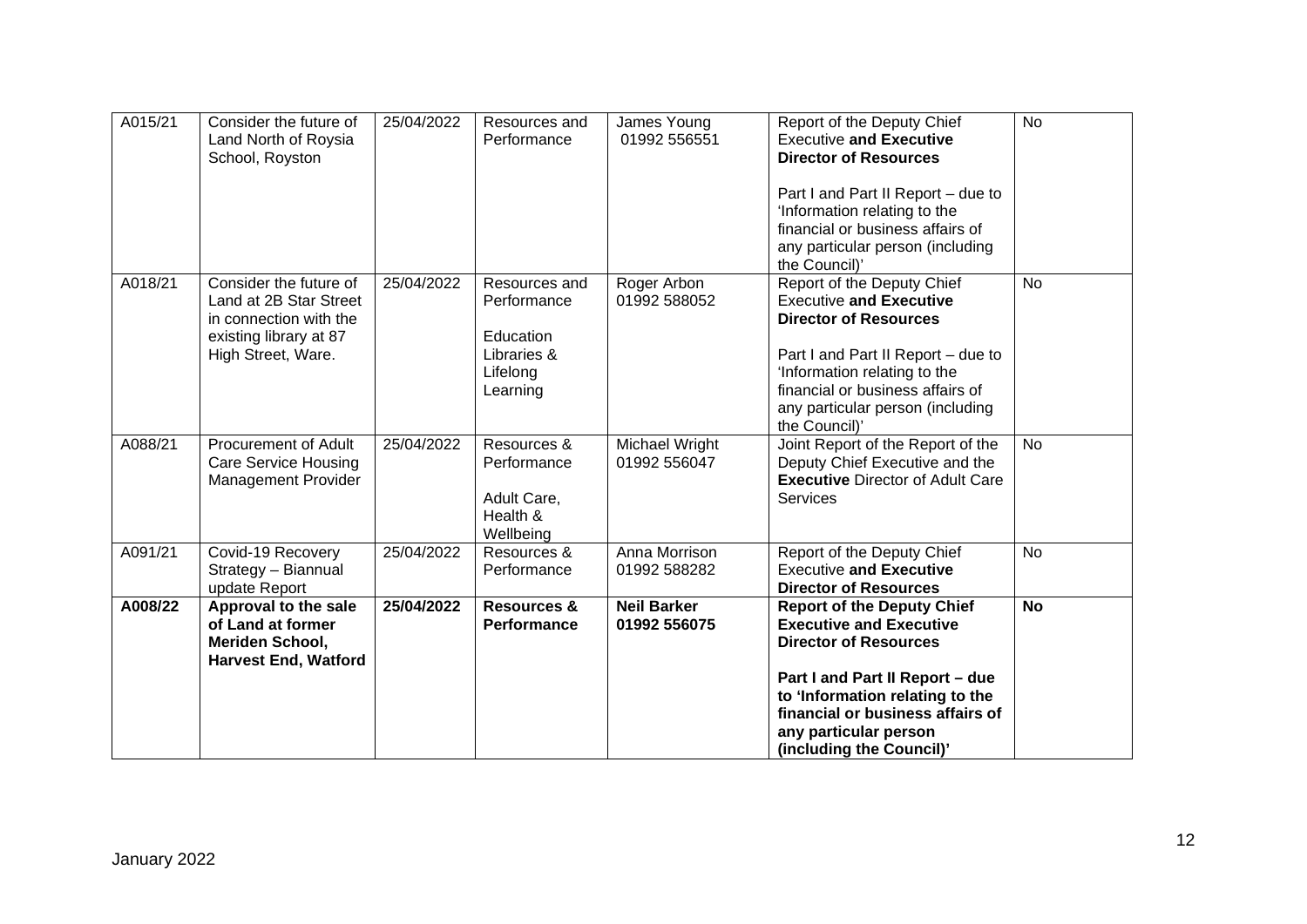| A015/21 | Consider the future of<br>Land North of Roysia<br>School, Royston                                                          | 25/04/2022 | Resources and<br>Performance                                                     | James Young<br>01992 556551        | Report of the Deputy Chief<br><b>Executive and Executive</b><br><b>Director of Resources</b>                                                                                                                                                                       | <b>No</b> |
|---------|----------------------------------------------------------------------------------------------------------------------------|------------|----------------------------------------------------------------------------------|------------------------------------|--------------------------------------------------------------------------------------------------------------------------------------------------------------------------------------------------------------------------------------------------------------------|-----------|
|         |                                                                                                                            |            |                                                                                  |                                    | Part I and Part II Report - due to<br>'Information relating to the<br>financial or business affairs of<br>any particular person (including<br>the Council)'                                                                                                        |           |
| A018/21 | Consider the future of<br>Land at 2B Star Street<br>in connection with the<br>existing library at 87<br>High Street, Ware. | 25/04/2022 | Resources and<br>Performance<br>Education<br>Libraries &<br>Lifelong<br>Learning | Roger Arbon<br>01992 588052        | Report of the Deputy Chief<br><b>Executive and Executive</b><br><b>Director of Resources</b><br>Part I and Part II Report - due to<br>'Information relating to the<br>financial or business affairs of<br>any particular person (including<br>the Council)'        | <b>No</b> |
| A088/21 | <b>Procurement of Adult</b><br><b>Care Service Housing</b><br><b>Management Provider</b>                                   | 25/04/2022 | Resources &<br>Performance<br>Adult Care,<br>Health &<br>Wellbeing               | Michael Wright<br>01992 556047     | Joint Report of the Report of the<br>Deputy Chief Executive and the<br><b>Executive Director of Adult Care</b><br><b>Services</b>                                                                                                                                  | <b>No</b> |
| A091/21 | Covid-19 Recovery<br>Strategy - Biannual<br>update Report                                                                  | 25/04/2022 | Resources &<br>Performance                                                       | Anna Morrison<br>01992 588282      | Report of the Deputy Chief<br><b>Executive and Executive</b><br><b>Director of Resources</b>                                                                                                                                                                       | <b>No</b> |
| A008/22 | Approval to the sale<br>of Land at former<br>Meriden School,<br><b>Harvest End, Watford</b>                                | 25/04/2022 | <b>Resources &amp;</b><br><b>Performance</b>                                     | <b>Neil Barker</b><br>01992 556075 | <b>Report of the Deputy Chief</b><br><b>Executive and Executive</b><br><b>Director of Resources</b><br>Part I and Part II Report - due<br>to 'Information relating to the<br>financial or business affairs of<br>any particular person<br>(including the Council)' | <b>No</b> |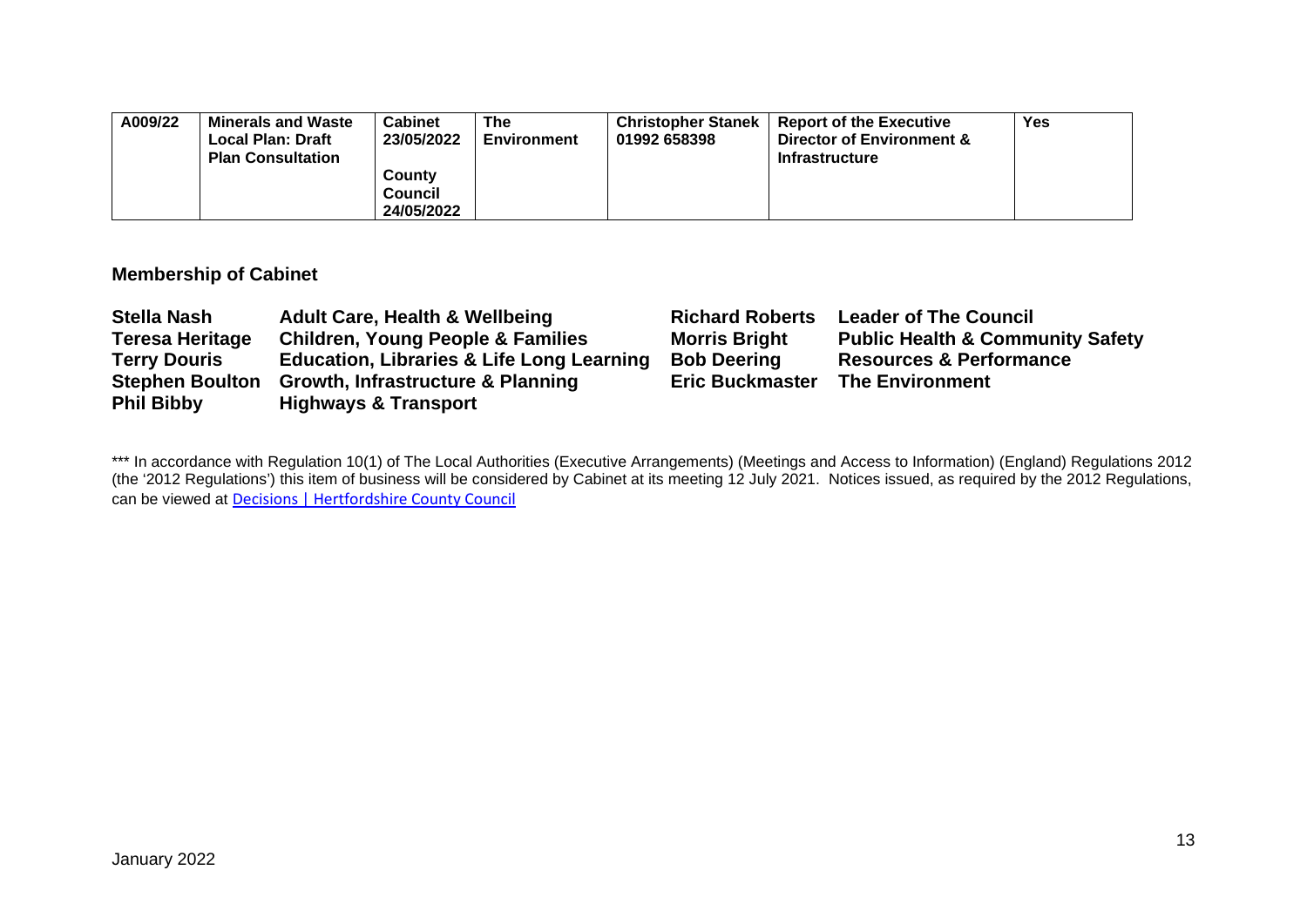| A009/22 | <b>Minerals and Waste</b><br><b>Local Plan: Draft</b><br><b>Plan Consultation</b> | Cabinet<br>23/05/2022                  | The<br>Environment | <b>Christopher Stanek</b><br>01992 658398 | <b>Report of the Executive</b><br>Director of Environment &<br><b>Infrastructure</b> | Yes |
|---------|-----------------------------------------------------------------------------------|----------------------------------------|--------------------|-------------------------------------------|--------------------------------------------------------------------------------------|-----|
|         |                                                                                   | County<br><b>Council</b><br>24/05/2022 |                    |                                           |                                                                                      |     |

### **Membership of Cabinet**

| <b>Stella Nash</b>     | <b>Adult Care, Health &amp; Wellbeing</b>            | <b>Richard Roberts</b> | <b>Leader of The Council</b>                |
|------------------------|------------------------------------------------------|------------------------|---------------------------------------------|
| <b>Teresa Heritage</b> | <b>Children, Young People &amp; Families</b>         | <b>Morris Bright</b>   | <b>Public Health &amp; Community Safety</b> |
| <b>Terry Douris</b>    | <b>Education, Libraries &amp; Life Long Learning</b> | <b>Bob Deering</b>     | <b>Resources &amp; Performance</b>          |
|                        | Stephen Boulton Growth, Infrastructure & Planning    | <b>Eric Buckmaster</b> | <b>The Environment</b>                      |
| <b>Phil Bibby</b>      | <b>Highways &amp; Transport</b>                      |                        |                                             |

\*\*\* In accordance with Regulation 10(1) of The Local Authorities (Executive Arrangements) (Meetings and Access to Information) (England) Regulations 2012 (the '2012 Regulations') this item of business will be considered by Cabinet at its meeting 12 July 2021. Notices issued, as required by the 2012 Regulations, can be viewed at [Decisions | Hertfordshire County Council](https://www.hertfordshire.gov.uk/About-the-council/freedom-of-information-and-council-data/Open-Data-Statistics-about-Hertfordshire/How-we-make-decisions/Decisions/Decisions.aspx#keydecisions)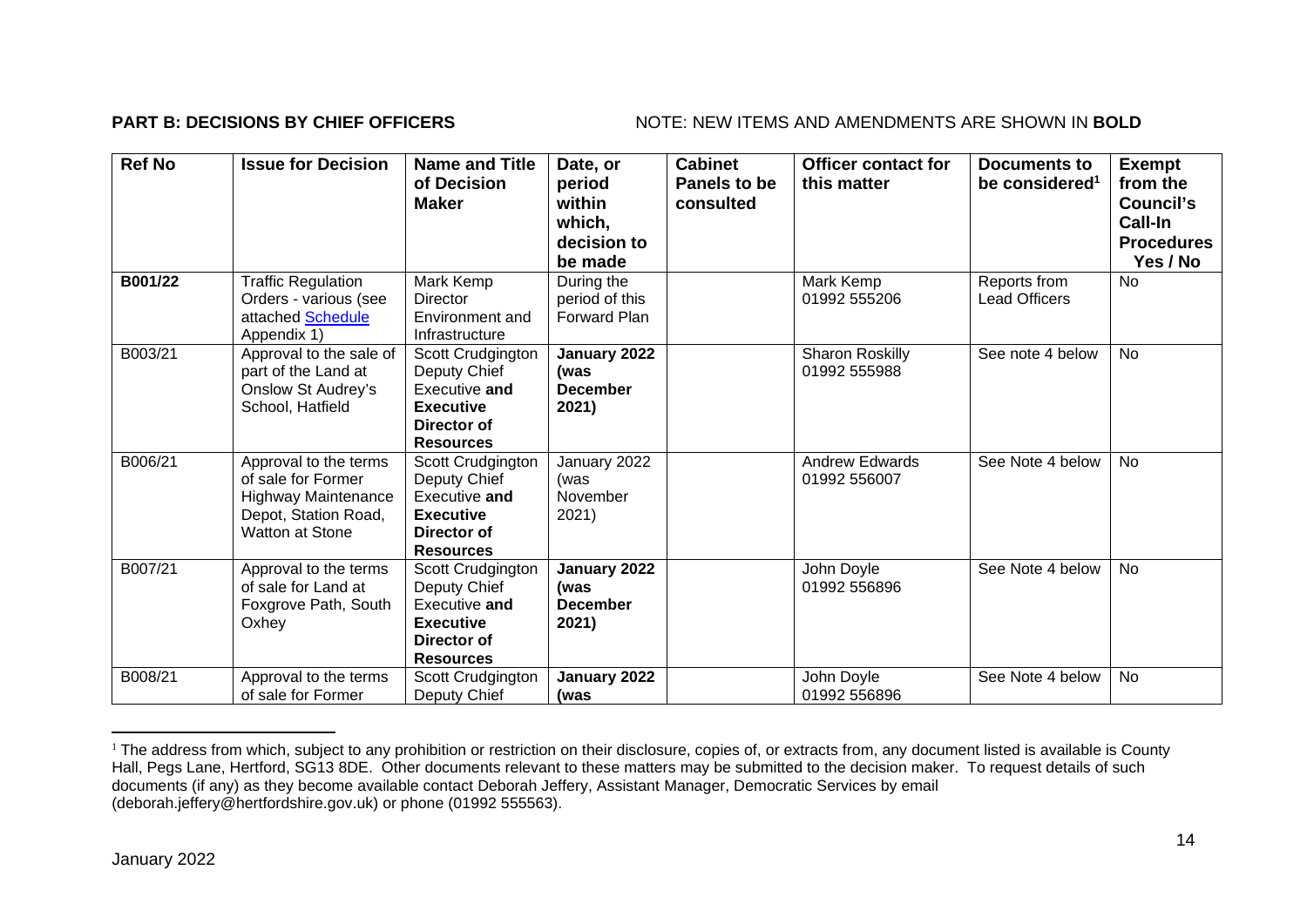### **PART B: DECISIONS BY CHIEF OFFICERS** NOTE: NEW ITEMS AND AMENDMENTS ARE SHOWN IN BOLD

| <b>Ref No</b> | <b>Issue for Decision</b>                                                                                                   | <b>Name and Title</b><br>of Decision<br><b>Maker</b>                                                      | Date, or<br>period<br>within<br>which,<br>decision to<br>be made | <b>Cabinet</b><br>Panels to be<br>consulted | <b>Officer contact for</b><br>this matter | Documents to<br>be considered <sup>1</sup> | <b>Exempt</b><br>from the<br>Council's<br>Call-In<br><b>Procedures</b><br>Yes / No |
|---------------|-----------------------------------------------------------------------------------------------------------------------------|-----------------------------------------------------------------------------------------------------------|------------------------------------------------------------------|---------------------------------------------|-------------------------------------------|--------------------------------------------|------------------------------------------------------------------------------------|
| B001/22       | <b>Traffic Regulation</b><br>Orders - various (see<br>attached Schedule<br>Appendix 1)                                      | Mark Kemp<br>Director<br>Environment and<br>Infrastructure                                                | During the<br>period of this<br><b>Forward Plan</b>              |                                             | Mark Kemp<br>01992 555206                 | Reports from<br><b>Lead Officers</b>       | <b>No</b>                                                                          |
| B003/21       | Approval to the sale of<br>part of the Land at<br>Onslow St Audrey's<br>School, Hatfield                                    | Scott Crudgington<br>Deputy Chief<br>Executive and<br><b>Executive</b><br>Director of<br><b>Resources</b> | January 2022<br>(was<br><b>December</b><br>2021)                 |                                             | Sharon Roskilly<br>01992 555988           | See note 4 below                           | <b>No</b>                                                                          |
| B006/21       | Approval to the terms<br>of sale for Former<br><b>Highway Maintenance</b><br>Depot, Station Road,<br><b>Watton at Stone</b> | Scott Crudgington<br>Deputy Chief<br>Executive and<br><b>Executive</b><br>Director of<br><b>Resources</b> | January 2022<br>(was<br>November<br>2021)                        |                                             | <b>Andrew Edwards</b><br>01992 556007     | See Note 4 below                           | No                                                                                 |
| B007/21       | Approval to the terms<br>of sale for Land at<br>Foxgrove Path, South<br>Oxhey                                               | Scott Crudgington<br>Deputy Chief<br>Executive and<br><b>Executive</b><br>Director of<br><b>Resources</b> | January 2022<br>(was<br><b>December</b><br>2021)                 |                                             | John Doyle<br>01992 556896                | See Note 4 below                           | No                                                                                 |
| B008/21       | Approval to the terms<br>of sale for Former                                                                                 | Scott Crudgington<br>Deputy Chief                                                                         | January 2022<br>(was                                             |                                             | John Doyle<br>01992 556896                | See Note 4 below                           | <b>No</b>                                                                          |

<sup>&</sup>lt;sup>1</sup> The address from which, subject to any prohibition or restriction on their disclosure, copies of, or extracts from, any document listed is available is County Hall, Pegs Lane, Hertford, SG13 8DE. Other documents relevant to these matters may be submitted to the decision maker. To request details of such documents (if any) as they become available contact Deborah Jeffery, Assistant Manager, Democratic Services by email (deborah.jeffery@hertfordshire.gov.uk) or phone (01992 555563).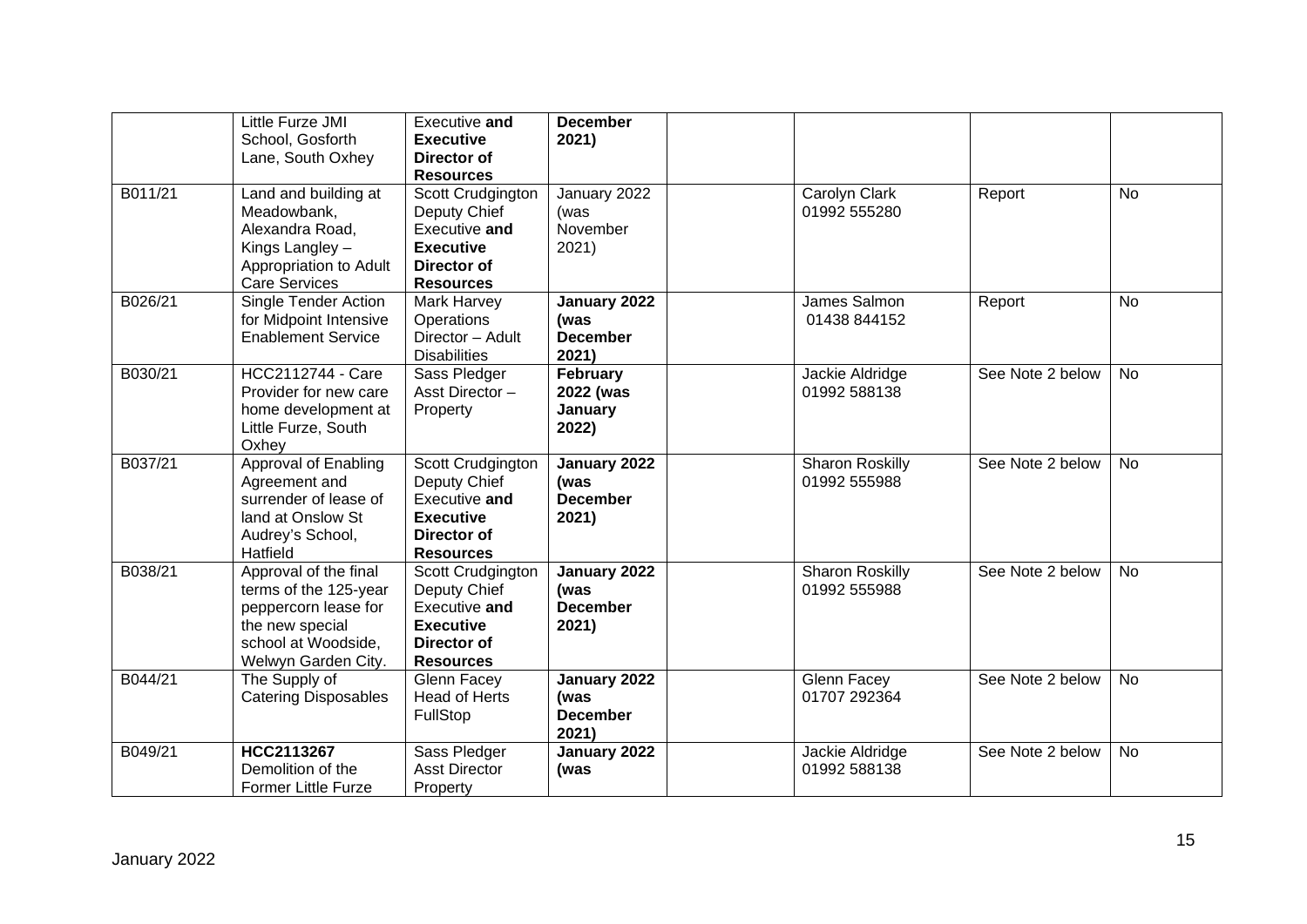|         | Little Furze JMI<br>School, Gosforth<br>Lane, South Oxhey                                                                               | Executive and<br><b>Executive</b><br>Director of<br><b>Resources</b>                                             | <b>December</b><br>2021)                         |                                        |                  |           |
|---------|-----------------------------------------------------------------------------------------------------------------------------------------|------------------------------------------------------------------------------------------------------------------|--------------------------------------------------|----------------------------------------|------------------|-----------|
| B011/21 | Land and building at<br>Meadowbank,<br>Alexandra Road,<br>Kings Langley -<br>Appropriation to Adult<br><b>Care Services</b>             | Scott Crudgington<br>Deputy Chief<br>Executive and<br><b>Executive</b><br>Director of<br><b>Resources</b>        | January 2022<br>(was<br>November<br>2021)        | Carolyn Clark<br>01992 555280          | Report           | <b>No</b> |
| B026/21 | Single Tender Action<br>for Midpoint Intensive<br><b>Enablement Service</b>                                                             | Mark Harvey<br>Operations<br>Director - Adult<br><b>Disabilities</b>                                             | January 2022<br>(was<br><b>December</b><br>2021) | James Salmon<br>01438 844152           | Report           | <b>No</b> |
| B030/21 | <b>HCC2112744 - Care</b><br>Provider for new care<br>home development at<br>Little Furze, South<br>Oxhey                                | Sass Pledger<br>Asst Director-<br>Property                                                                       | February<br>2022 (was<br>January<br>2022)        | Jackie Aldridge<br>01992 588138        | See Note 2 below | <b>No</b> |
| B037/21 | Approval of Enabling<br>Agreement and<br>surrender of lease of<br>land at Onslow St<br>Audrey's School,<br>Hatfield                     | Scott Crudgington<br>Deputy Chief<br>Executive and<br><b>Executive</b><br><b>Director of</b><br><b>Resources</b> | January 2022<br>(was<br><b>December</b><br>2021) | <b>Sharon Roskilly</b><br>01992 555988 | See Note 2 below | <b>No</b> |
| B038/21 | Approval of the final<br>terms of the 125-year<br>peppercorn lease for<br>the new special<br>school at Woodside,<br>Welwyn Garden City. | Scott Crudgington<br>Deputy Chief<br>Executive and<br><b>Executive</b><br><b>Director of</b><br><b>Resources</b> | January 2022<br>(was<br><b>December</b><br>2021) | Sharon Roskilly<br>01992 555988        | See Note 2 below | <b>No</b> |
| B044/21 | The Supply of<br><b>Catering Disposables</b>                                                                                            | Glenn Facey<br><b>Head of Herts</b><br><b>FullStop</b>                                                           | January 2022<br>(was<br><b>December</b><br>2021) | Glenn Facey<br>01707 292364            | See Note 2 below | <b>No</b> |
| B049/21 | HCC2113267<br>Demolition of the<br><b>Former Little Furze</b>                                                                           | Sass Pledger<br><b>Asst Director</b><br>Property                                                                 | January 2022<br>(was                             | Jackie Aldridge<br>01992 588138        | See Note 2 below | <b>No</b> |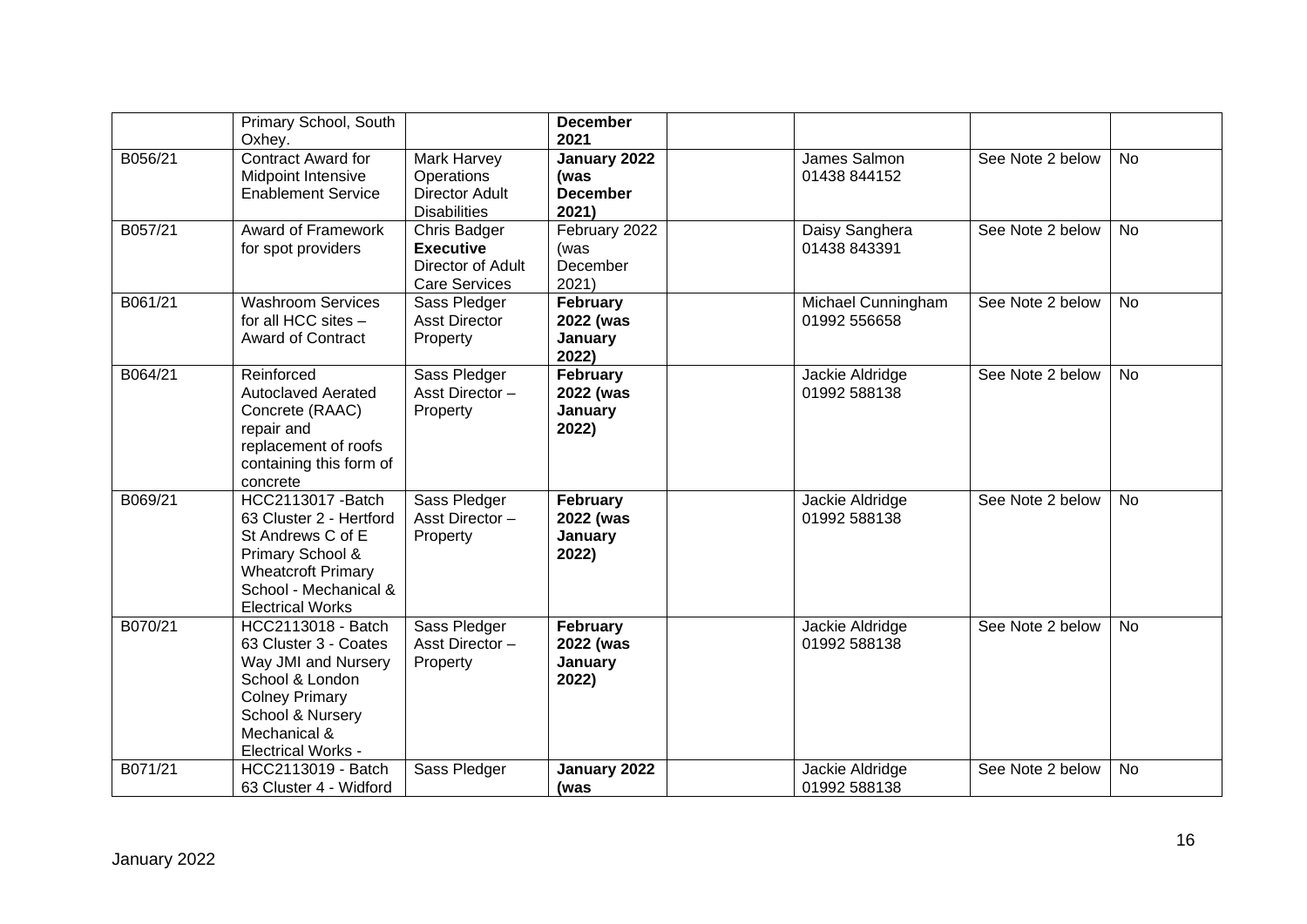|         | Primary School, South<br>Oxhey.                                                                                                                                                 |                                                                                  | <b>December</b><br>2021                          |                                    |                  |           |
|---------|---------------------------------------------------------------------------------------------------------------------------------------------------------------------------------|----------------------------------------------------------------------------------|--------------------------------------------------|------------------------------------|------------------|-----------|
| B056/21 | <b>Contract Award for</b><br><b>Midpoint Intensive</b><br><b>Enablement Service</b>                                                                                             | <b>Mark Harvey</b><br>Operations<br><b>Director Adult</b><br><b>Disabilities</b> | January 2022<br>(was<br><b>December</b><br>2021) | James Salmon<br>01438 844152       | See Note 2 below | No        |
| B057/21 | <b>Award of Framework</b><br>for spot providers                                                                                                                                 | Chris Badger<br><b>Executive</b><br>Director of Adult<br><b>Care Services</b>    | February 2022<br>(was<br>December<br>2021)       | Daisy Sanghera<br>01438 843391     | See Note 2 below | <b>No</b> |
| B061/21 | <b>Washroom Services</b><br>for all HCC sites -<br><b>Award of Contract</b>                                                                                                     | Sass Pledger<br><b>Asst Director</b><br>Property                                 | February<br>2022 (was<br>January<br>2022)        | Michael Cunningham<br>01992 556658 | See Note 2 below | <b>No</b> |
| B064/21 | Reinforced<br><b>Autoclaved Aerated</b><br>Concrete (RAAC)<br>repair and<br>replacement of roofs<br>containing this form of<br>concrete                                         | Sass Pledger<br>Asst Director-<br>Property                                       | February<br>2022 (was<br>January<br>2022)        | Jackie Aldridge<br>01992 588138    | See Note 2 below | <b>No</b> |
| B069/21 | <b>HCC2113017 - Batch</b><br>63 Cluster 2 - Hertford<br>St Andrews C of E<br>Primary School &<br><b>Wheatcroft Primary</b><br>School - Mechanical &<br><b>Electrical Works</b>  | Sass Pledger<br>Asst Director-<br>Property                                       | February<br>2022 (was<br>January<br>2022)        | Jackie Aldridge<br>01992 588138    | See Note 2 below | <b>No</b> |
| B070/21 | HCC2113018 - Batch<br>63 Cluster 3 - Coates<br>Way JMI and Nursery<br>School & London<br><b>Colney Primary</b><br>School & Nursery<br>Mechanical &<br><b>Electrical Works -</b> | Sass Pledger<br>Asst Director-<br>Property                                       | February<br>2022 (was<br>January<br>2022)        | Jackie Aldridge<br>01992 588138    | See Note 2 below | <b>No</b> |
| B071/21 | HCC2113019 - Batch<br>63 Cluster 4 - Widford                                                                                                                                    | Sass Pledger                                                                     | January 2022<br>(was                             | Jackie Aldridge<br>01992 588138    | See Note 2 below | No        |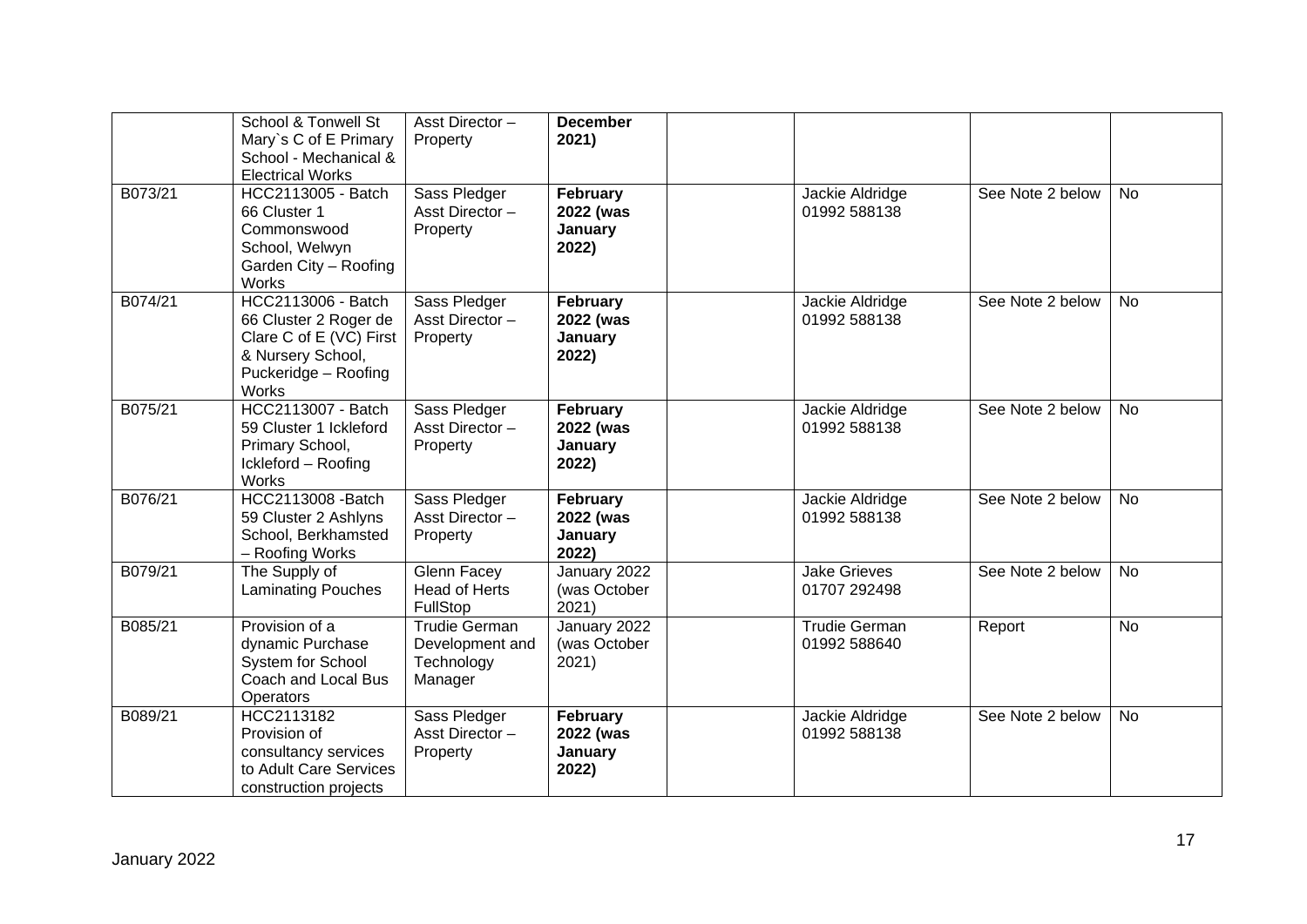|         | School & Tonwell St<br>Mary's C of E Primary<br>School - Mechanical &<br><b>Electrical Works</b>                                    | Asst Director-<br>Property                                | <b>December</b><br>2021)                  |                                      |                  |           |
|---------|-------------------------------------------------------------------------------------------------------------------------------------|-----------------------------------------------------------|-------------------------------------------|--------------------------------------|------------------|-----------|
| B073/21 | HCC2113005 - Batch<br>66 Cluster 1<br>Commonswood<br>School, Welwyn<br>Garden City - Roofing<br>Works                               | Sass Pledger<br>Asst Director-<br>Property                | February<br>2022 (was<br>January<br>2022) | Jackie Aldridge<br>01992 588138      | See Note 2 below | <b>No</b> |
| B074/21 | <b>HCC2113006 - Batch</b><br>66 Cluster 2 Roger de<br>Clare C of E (VC) First<br>& Nursery School,<br>Puckeridge - Roofing<br>Works | Sass Pledger<br>Asst Director-<br>Property                | February<br>2022 (was<br>January<br>2022) | Jackie Aldridge<br>01992 588138      | See Note 2 below | <b>No</b> |
| B075/21 | <b>HCC2113007 - Batch</b><br>59 Cluster 1 Ickleford<br>Primary School,<br>Ickleford - Roofing<br>Works                              | Sass Pledger<br>Asst Director-<br>Property                | February<br>2022 (was<br>January<br>2022) | Jackie Aldridge<br>01992 588138      | See Note 2 below | <b>No</b> |
| B076/21 | <b>HCC2113008 -Batch</b><br>59 Cluster 2 Ashlyns<br>School, Berkhamsted<br>- Roofing Works                                          | Sass Pledger<br>Asst Director-<br>Property                | February<br>2022 (was<br>January<br>2022) | Jackie Aldridge<br>01992 588138      | See Note 2 below | <b>No</b> |
| B079/21 | The Supply of<br><b>Laminating Pouches</b>                                                                                          | Glenn Facey<br><b>Head of Herts</b><br>FullStop           | January 2022<br>(was October<br>2021)     | <b>Jake Grieves</b><br>01707 292498  | See Note 2 below | <b>No</b> |
| B085/21 | Provision of a<br>dynamic Purchase<br>System for School<br>Coach and Local Bus<br>Operators                                         | Trudie German<br>Development and<br>Technology<br>Manager | January 2022<br>(was October<br>2021)     | <b>Trudie German</b><br>01992 588640 | Report           | <b>No</b> |
| B089/21 | HCC2113182<br>Provision of<br>consultancy services<br>to Adult Care Services<br>construction projects                               | Sass Pledger<br>Asst Director-<br>Property                | February<br>2022 (was<br>January<br>2022) | Jackie Aldridge<br>01992 588138      | See Note 2 below | <b>No</b> |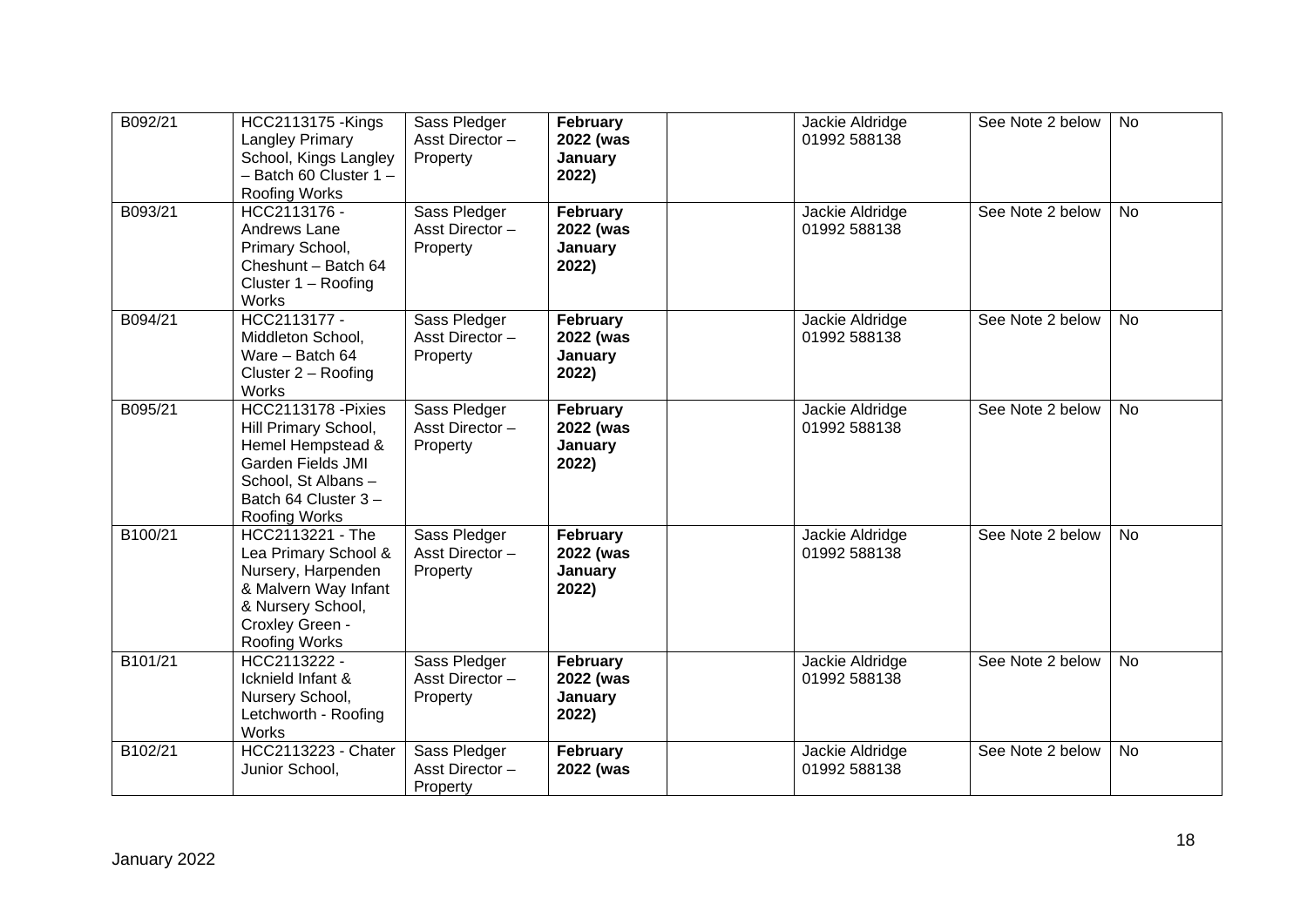| B092/21 | <b>HCC2113175 - Kings</b><br><b>Langley Primary</b><br>School, Kings Langley<br>$-$ Batch 60 Cluster 1 $-$<br>Roofing Works                                | Sass Pledger<br>Asst Director-<br>Property | February<br>2022 (was<br>January<br>2022) | Jackie Aldridge<br>01992 588138 | See Note 2 below | <b>No</b> |
|---------|------------------------------------------------------------------------------------------------------------------------------------------------------------|--------------------------------------------|-------------------------------------------|---------------------------------|------------------|-----------|
| B093/21 | HCC2113176 -<br>Andrews Lane<br>Primary School,<br>Cheshunt - Batch 64<br>Cluster $1 -$ Roofing<br>Works                                                   | Sass Pledger<br>Asst Director-<br>Property | February<br>2022 (was<br>January<br>2022) | Jackie Aldridge<br>01992 588138 | See Note 2 below | <b>No</b> |
| B094/21 | HCC2113177 -<br>Middleton School,<br>Ware - Batch 64<br>Cluster $2 -$ Roofing<br>Works                                                                     | Sass Pledger<br>Asst Director-<br>Property | February<br>2022 (was<br>January<br>2022) | Jackie Aldridge<br>01992 588138 | See Note 2 below | <b>No</b> |
| B095/21 | HCC2113178 - Pixies<br>Hill Primary School,<br>Hemel Hempstead &<br><b>Garden Fields JMI</b><br>School, St Albans-<br>Batch 64 Cluster 3-<br>Roofing Works | Sass Pledger<br>Asst Director-<br>Property | February<br>2022 (was<br>January<br>2022) | Jackie Aldridge<br>01992 588138 | See Note 2 below | <b>No</b> |
| B100/21 | HCC2113221 - The<br>Lea Primary School &<br>Nursery, Harpenden<br>& Malvern Way Infant<br>& Nursery School,<br>Croxley Green -<br>Roofing Works            | Sass Pledger<br>Asst Director-<br>Property | February<br>2022 (was<br>January<br>2022) | Jackie Aldridge<br>01992 588138 | See Note 2 below | <b>No</b> |
| B101/21 | HCC2113222 -<br>Icknield Infant &<br>Nursery School,<br>Letchworth - Roofing<br>Works                                                                      | Sass Pledger<br>Asst Director-<br>Property | February<br>2022 (was<br>January<br>2022) | Jackie Aldridge<br>01992 588138 | See Note 2 below | <b>No</b> |
| B102/21 | <b>HCC2113223 - Chater</b><br>Junior School,                                                                                                               | Sass Pledger<br>Asst Director-<br>Property | February<br>2022 (was                     | Jackie Aldridge<br>01992 588138 | See Note 2 below | <b>No</b> |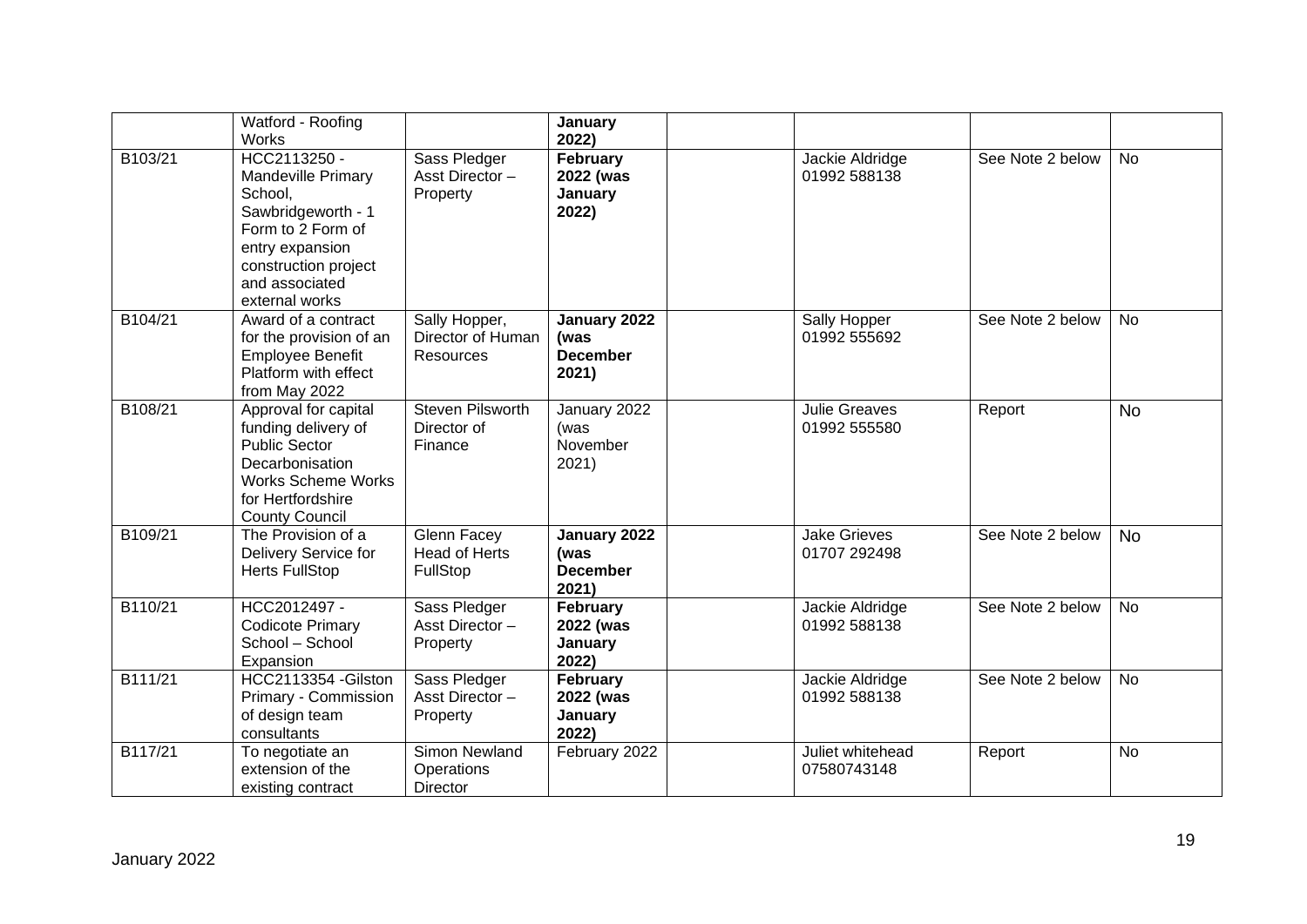|         | Watford - Roofing<br><b>Works</b>                                                                                                                                              |                                                        | January<br>2022)                                 |                                      |                  |           |
|---------|--------------------------------------------------------------------------------------------------------------------------------------------------------------------------------|--------------------------------------------------------|--------------------------------------------------|--------------------------------------|------------------|-----------|
| B103/21 | HCC2113250 -<br><b>Mandeville Primary</b><br>School,<br>Sawbridgeworth - 1<br>Form to 2 Form of<br>entry expansion<br>construction project<br>and associated<br>external works | Sass Pledger<br>Asst Director-<br>Property             | February<br>2022 (was<br>January<br>2022)        | Jackie Aldridge<br>01992 588138      | See Note 2 below | <b>No</b> |
| B104/21 | Award of a contract<br>for the provision of an<br><b>Employee Benefit</b><br>Platform with effect<br>from May 2022                                                             | Sally Hopper,<br>Director of Human<br>Resources        | January 2022<br>(was<br><b>December</b><br>2021) | Sally Hopper<br>01992 555692         | See Note 2 below | <b>No</b> |
| B108/21 | Approval for capital<br>funding delivery of<br><b>Public Sector</b><br>Decarbonisation<br><b>Works Scheme Works</b><br>for Hertfordshire<br><b>County Council</b>              | Steven Pilsworth<br>Director of<br>Finance             | January 2022<br>(was<br>November<br>2021)        | <b>Julie Greaves</b><br>01992 555580 | Report           | <b>No</b> |
| B109/21 | The Provision of a<br>Delivery Service for<br><b>Herts FullStop</b>                                                                                                            | <b>Glenn Facey</b><br><b>Head of Herts</b><br>FullStop | January 2022<br>(was<br><b>December</b><br>2021) | <b>Jake Grieves</b><br>01707 292498  | See Note 2 below | <b>No</b> |
| B110/21 | HCC2012497 -<br><b>Codicote Primary</b><br>School - School<br>Expansion                                                                                                        | Sass Pledger<br>Asst Director-<br>Property             | February<br>2022 (was<br>January<br>2022)        | Jackie Aldridge<br>01992 588138      | See Note 2 below | <b>No</b> |
| B111/21 | HCC2113354 - Gilston<br>Primary - Commission<br>of design team<br>consultants                                                                                                  | Sass Pledger<br>Asst Director-<br>Property             | February<br>2022 (was<br>January<br>2022)        | Jackie Aldridge<br>01992 588138      | See Note 2 below | <b>No</b> |
| B117/21 | To negotiate an<br>extension of the<br>existing contract                                                                                                                       | Simon Newland<br>Operations<br><b>Director</b>         | February 2022                                    | Juliet whitehead<br>07580743148      | Report           | <b>No</b> |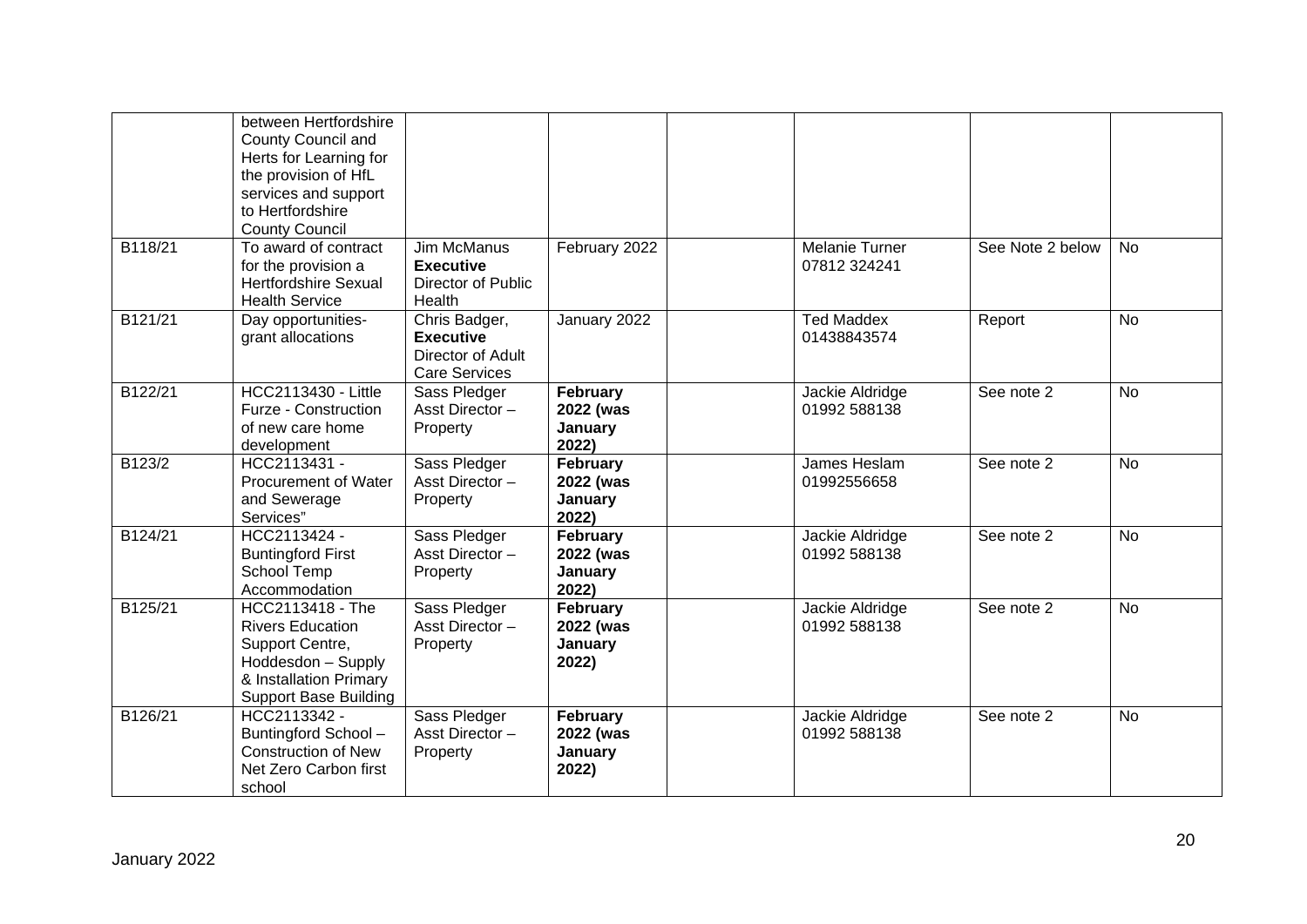|         | between Hertfordshire<br>County Council and<br>Herts for Learning for<br>the provision of HfL<br>services and support<br>to Hertfordshire<br><b>County Council</b> |                                                                                |                                           |                                  |                  |           |
|---------|--------------------------------------------------------------------------------------------------------------------------------------------------------------------|--------------------------------------------------------------------------------|-------------------------------------------|----------------------------------|------------------|-----------|
| B118/21 | To award of contract<br>for the provision a<br><b>Hertfordshire Sexual</b><br><b>Health Service</b>                                                                | Jim McManus<br><b>Executive</b><br>Director of Public<br>Health                | February 2022                             | Melanie Turner<br>07812 324241   | See Note 2 below | <b>No</b> |
| B121/21 | Day opportunities-<br>grant allocations                                                                                                                            | Chris Badger,<br><b>Executive</b><br>Director of Adult<br><b>Care Services</b> | January 2022                              | <b>Ted Maddex</b><br>01438843574 | Report           | <b>No</b> |
| B122/21 | <b>HCC2113430 - Little</b><br>Furze - Construction<br>of new care home<br>development                                                                              | Sass Pledger<br>Asst Director-<br>Property                                     | February<br>2022 (was<br>January<br>2022) | Jackie Aldridge<br>01992 588138  | See note 2       | <b>No</b> |
| B123/2  | HCC2113431 -<br>Procurement of Water<br>and Sewerage<br>Services"                                                                                                  | Sass Pledger<br>Asst Director-<br>Property                                     | February<br>2022 (was<br>January<br>2022) | James Heslam<br>01992556658      | See note 2       | <b>No</b> |
| B124/21 | HCC2113424 -<br><b>Buntingford First</b><br>School Temp<br>Accommodation                                                                                           | Sass Pledger<br>Asst Director-<br>Property                                     | February<br>2022 (was<br>January<br>2022) | Jackie Aldridge<br>01992 588138  | See note 2       | <b>No</b> |
| B125/21 | HCC2113418 - The<br><b>Rivers Education</b><br>Support Centre,<br>Hoddesdon - Supply<br>& Installation Primary<br><b>Support Base Building</b>                     | Sass Pledger<br>Asst Director-<br>Property                                     | February<br>2022 (was<br>January<br>2022) | Jackie Aldridge<br>01992 588138  | See note 2       | <b>No</b> |
| B126/21 | HCC2113342 -<br>Buntingford School-<br><b>Construction of New</b><br>Net Zero Carbon first<br>school                                                               | Sass Pledger<br>Asst Director-<br>Property                                     | February<br>2022 (was<br>January<br>2022) | Jackie Aldridge<br>01992 588138  | See note 2       | <b>No</b> |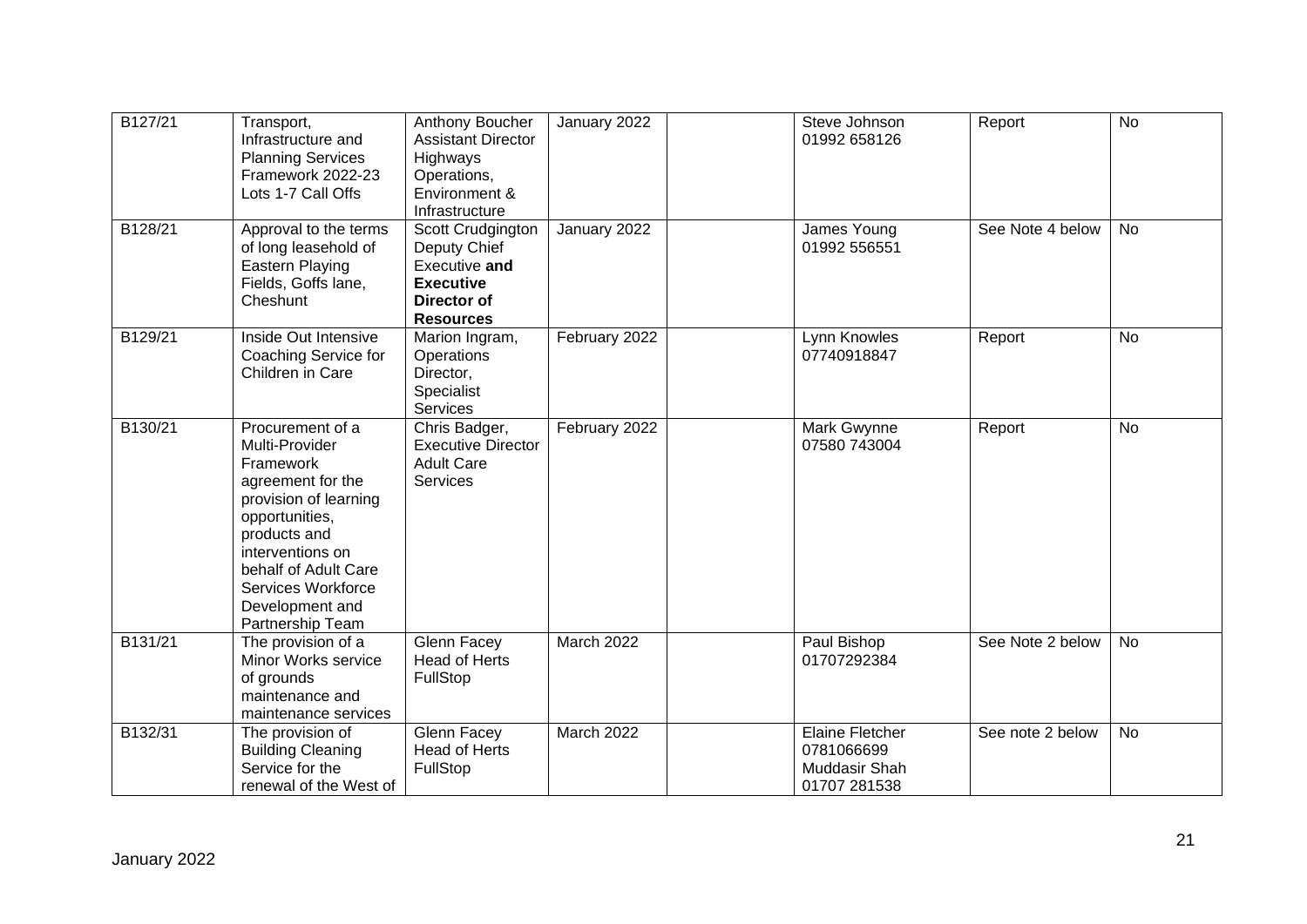| B127/21 | Transport,<br>Infrastructure and<br><b>Planning Services</b><br>Framework 2022-23<br>Lots 1-7 Call Offs                                                                                                                                  | Anthony Boucher<br><b>Assistant Director</b><br>Highways<br>Operations,<br>Environment &<br>Infrastructure       | January 2022  | Steve Johnson<br>01992 658126                                         | Report           | <b>No</b> |
|---------|------------------------------------------------------------------------------------------------------------------------------------------------------------------------------------------------------------------------------------------|------------------------------------------------------------------------------------------------------------------|---------------|-----------------------------------------------------------------------|------------------|-----------|
| B128/21 | Approval to the terms<br>of long leasehold of<br><b>Eastern Playing</b><br>Fields, Goffs lane,<br>Cheshunt                                                                                                                               | Scott Crudgington<br>Deputy Chief<br>Executive and<br><b>Executive</b><br><b>Director of</b><br><b>Resources</b> | January 2022  | James Young<br>01992 556551                                           | See Note 4 below | <b>No</b> |
| B129/21 | Inside Out Intensive<br>Coaching Service for<br>Children in Care                                                                                                                                                                         | Marion Ingram,<br>Operations<br>Director,<br>Specialist<br>Services                                              | February 2022 | Lynn Knowles<br>07740918847                                           | Report           | <b>No</b> |
| B130/21 | Procurement of a<br>Multi-Provider<br>Framework<br>agreement for the<br>provision of learning<br>opportunities,<br>products and<br>interventions on<br>behalf of Adult Care<br>Services Workforce<br>Development and<br>Partnership Team | Chris Badger,<br><b>Executive Director</b><br><b>Adult Care</b><br>Services                                      | February 2022 | Mark Gwynne<br>07580 743004                                           | Report           | No        |
| B131/21 | The provision of a<br>Minor Works service<br>of grounds<br>maintenance and<br>maintenance services                                                                                                                                       | Glenn Facey<br><b>Head of Herts</b><br>FullStop                                                                  | March 2022    | Paul Bishop<br>01707292384                                            | See Note 2 below | <b>No</b> |
| B132/31 | The provision of<br><b>Building Cleaning</b><br>Service for the<br>renewal of the West of                                                                                                                                                | <b>Glenn Facey</b><br><b>Head of Herts</b><br>FullStop                                                           | March 2022    | <b>Elaine Fletcher</b><br>0781066699<br>Muddasir Shah<br>01707 281538 | See note 2 below | <b>No</b> |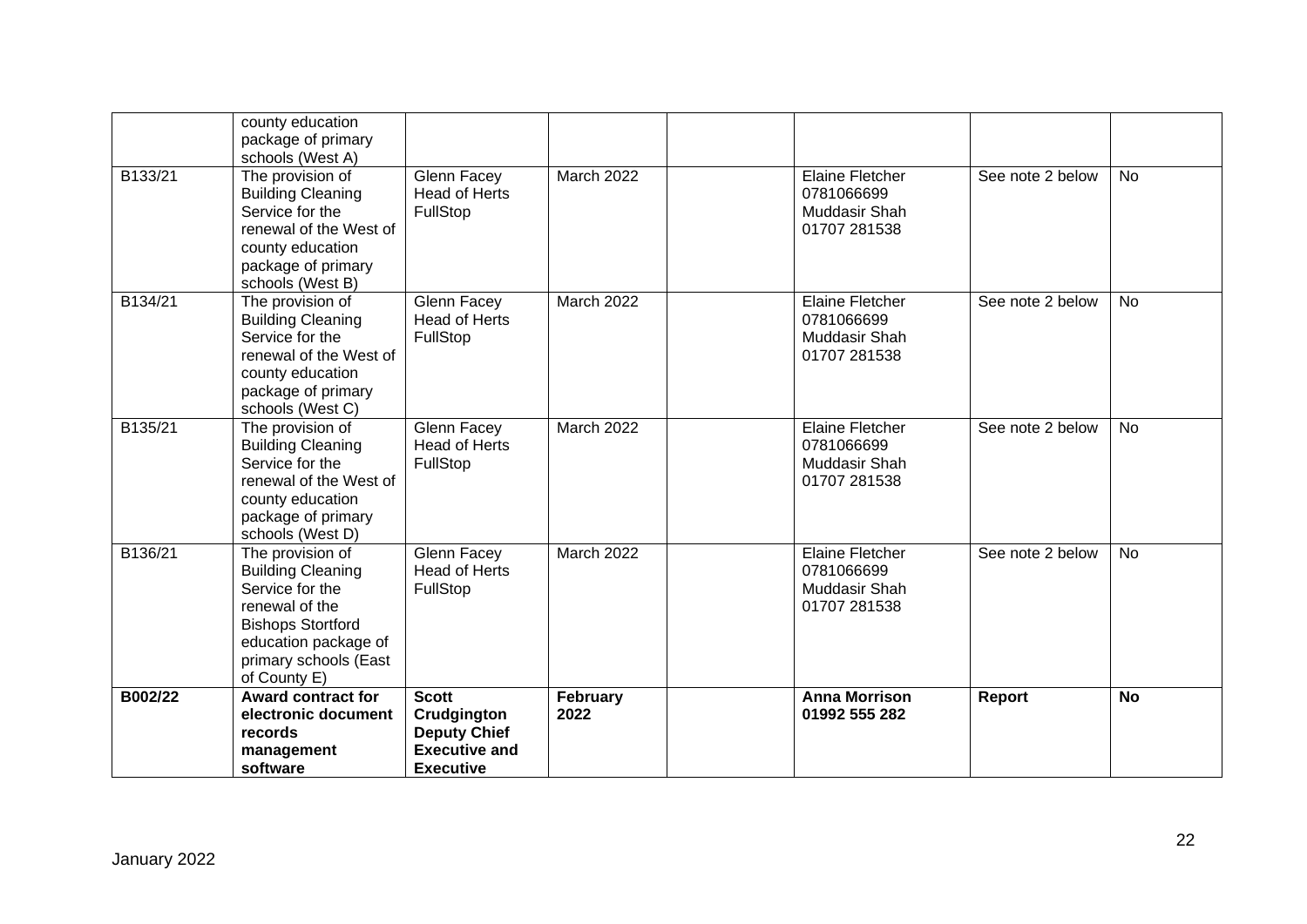|         | county education<br>package of primary<br>schools (West A)                                                                                                                     |                                                                                                |                   |                                                                       |                  |           |
|---------|--------------------------------------------------------------------------------------------------------------------------------------------------------------------------------|------------------------------------------------------------------------------------------------|-------------------|-----------------------------------------------------------------------|------------------|-----------|
| B133/21 | The provision of<br><b>Building Cleaning</b><br>Service for the<br>renewal of the West of<br>county education<br>package of primary<br>schools (West B)                        | <b>Glenn Facey</b><br><b>Head of Herts</b><br>FullStop                                         | March 2022        | <b>Elaine Fletcher</b><br>0781066699<br>Muddasir Shah<br>01707 281538 | See note 2 below | <b>No</b> |
| B134/21 | The provision of<br><b>Building Cleaning</b><br>Service for the<br>renewal of the West of<br>county education<br>package of primary<br>schools (West C)                        | <b>Glenn Facey</b><br><b>Head of Herts</b><br>FullStop                                         | March 2022        | <b>Elaine Fletcher</b><br>0781066699<br>Muddasir Shah<br>01707 281538 | See note 2 below | <b>No</b> |
| B135/21 | The provision of<br><b>Building Cleaning</b><br>Service for the<br>renewal of the West of<br>county education<br>package of primary<br>schools (West D)                        | <b>Glenn Facey</b><br><b>Head of Herts</b><br>FullStop                                         | <b>March 2022</b> | <b>Elaine Fletcher</b><br>0781066699<br>Muddasir Shah<br>01707 281538 | See note 2 below | <b>No</b> |
| B136/21 | The provision of<br><b>Building Cleaning</b><br>Service for the<br>renewal of the<br><b>Bishops Stortford</b><br>education package of<br>primary schools (East<br>of County E) | <b>Glenn Facey</b><br><b>Head of Herts</b><br>FullStop                                         | March 2022        | <b>Elaine Fletcher</b><br>0781066699<br>Muddasir Shah<br>01707 281538 | See note 2 below | <b>No</b> |
| B002/22 | <b>Award contract for</b><br>electronic document<br>records<br>management<br>software                                                                                          | <b>Scott</b><br>Crudgington<br><b>Deputy Chief</b><br><b>Executive and</b><br><b>Executive</b> | February<br>2022  | <b>Anna Morrison</b><br>01992 555 282                                 | Report           | <b>No</b> |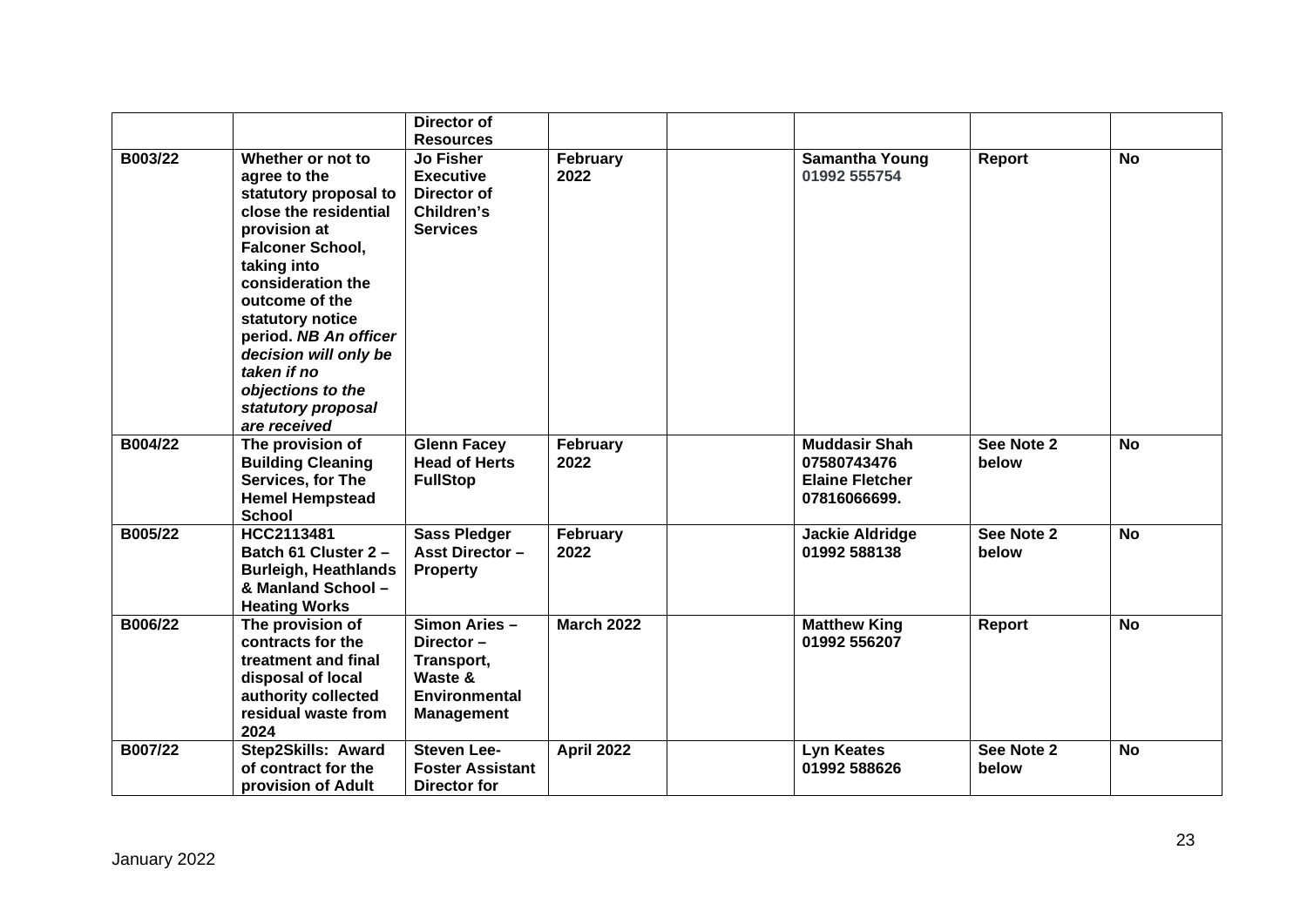|         |                                                                                                                                                                                                                                                                                                                               | Director of<br><b>Resources</b>                                                                  |                   |                                                                               |                     |           |
|---------|-------------------------------------------------------------------------------------------------------------------------------------------------------------------------------------------------------------------------------------------------------------------------------------------------------------------------------|--------------------------------------------------------------------------------------------------|-------------------|-------------------------------------------------------------------------------|---------------------|-----------|
| B003/22 | Whether or not to<br>agree to the<br>statutory proposal to<br>close the residential<br>provision at<br>Falconer School,<br>taking into<br>consideration the<br>outcome of the<br>statutory notice<br>period. NB An officer<br>decision will only be<br>taken if no<br>objections to the<br>statutory proposal<br>are received | <b>Jo Fisher</b><br><b>Executive</b><br>Director of<br>Children's<br><b>Services</b>             | February<br>2022  | <b>Samantha Young</b><br>01992 555754                                         | Report              | <b>No</b> |
| B004/22 | The provision of<br><b>Building Cleaning</b><br>Services, for The<br><b>Hemel Hempstead</b><br><b>School</b>                                                                                                                                                                                                                  | <b>Glenn Facey</b><br><b>Head of Herts</b><br><b>FullStop</b>                                    | February<br>2022  | <b>Muddasir Shah</b><br>07580743476<br><b>Elaine Fletcher</b><br>07816066699. | See Note 2<br>below | <b>No</b> |
| B005/22 | HCC2113481<br>Batch 61 Cluster 2 -<br><b>Burleigh, Heathlands</b><br>& Manland School -<br><b>Heating Works</b>                                                                                                                                                                                                               | <b>Sass Pledger</b><br><b>Asst Director -</b><br><b>Property</b>                                 | February<br>2022  | <b>Jackie Aldridge</b><br>01992 588138                                        | See Note 2<br>below | No        |
| B006/22 | The provision of<br>contracts for the<br>treatment and final<br>disposal of local<br>authority collected<br>residual waste from<br>2024                                                                                                                                                                                       | Simon Aries -<br>Director-<br>Transport,<br>Waste &<br><b>Environmental</b><br><b>Management</b> | <b>March 2022</b> | <b>Matthew King</b><br>01992 556207                                           | <b>Report</b>       | <b>No</b> |
| B007/22 | Step2Skills: Award<br>of contract for the<br>provision of Adult                                                                                                                                                                                                                                                               | <b>Steven Lee-</b><br><b>Foster Assistant</b><br>Director for                                    | <b>April 2022</b> | <b>Lyn Keates</b><br>01992 588626                                             | See Note 2<br>below | <b>No</b> |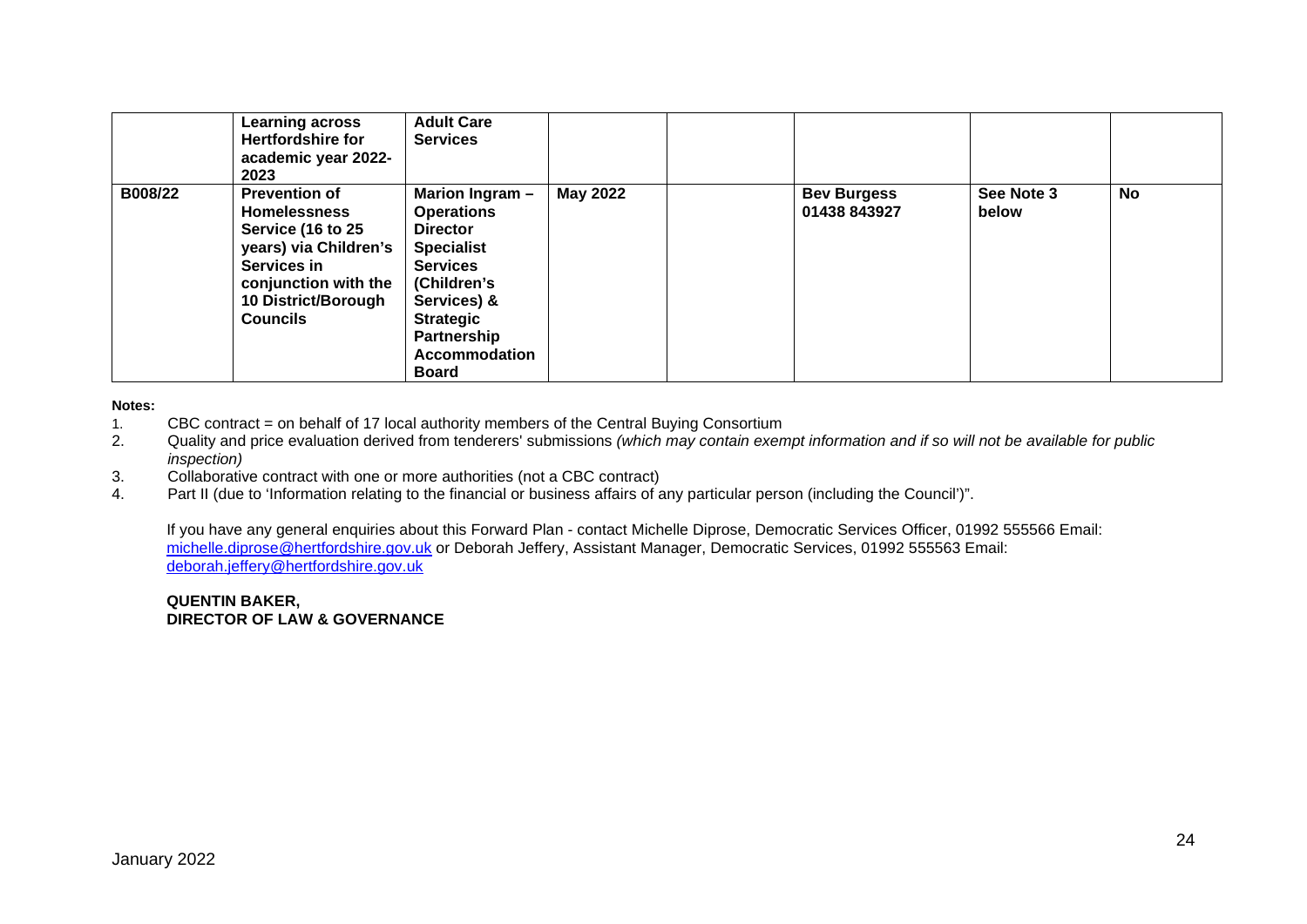|         | <b>Learning across</b><br><b>Hertfordshire for</b><br>academic year 2022-<br>2023                                                                                                 | <b>Adult Care</b><br><b>Services</b>                                                                                                                                                                     |                 |                                    |                     |    |
|---------|-----------------------------------------------------------------------------------------------------------------------------------------------------------------------------------|----------------------------------------------------------------------------------------------------------------------------------------------------------------------------------------------------------|-----------------|------------------------------------|---------------------|----|
| B008/22 | <b>Prevention of</b><br><b>Homelessness</b><br>Service (16 to 25<br>years) via Children's<br><b>Services in</b><br>conjunction with the<br>10 District/Borough<br><b>Councils</b> | Marion Ingram -<br><b>Operations</b><br><b>Director</b><br><b>Specialist</b><br><b>Services</b><br>(Children's<br>Services) &<br><b>Strategic</b><br>Partnership<br><b>Accommodation</b><br><b>Board</b> | <b>May 2022</b> | <b>Bev Burgess</b><br>01438 843927 | See Note 3<br>below | No |

**Notes:** 

- 1. CBC contract = on behalf of 17 local authority members of the Central Buying Consortium
- 2. Quality and price evaluation derived from tenderers' submissions *(which may contain exempt information and if so will not be available for public inspection)*
- 3. Collaborative contract with one or more authorities (not a CBC contract)
- 4. Part II (due to 'Information relating to the financial or business affairs of any particular person (including the Council')".

If you have any general enquiries about this Forward Plan - contact Michelle Diprose, Democratic Services Officer, 01992 555566 Email: [michelle.diprose@hertfordshire.gov.uk](mailto:michelle.diprose@hertfordshire.gov.uk) or Deborah Jeffery, Assistant Manager, Democratic Services, 01992 555563 Email: [deborah.jeffery@hertfordshire.gov.uk](mailto:deborah.jeffery@hertfordshire.gov.uk)

**QUENTIN BAKER, DIRECTOR OF LAW & GOVERNANCE**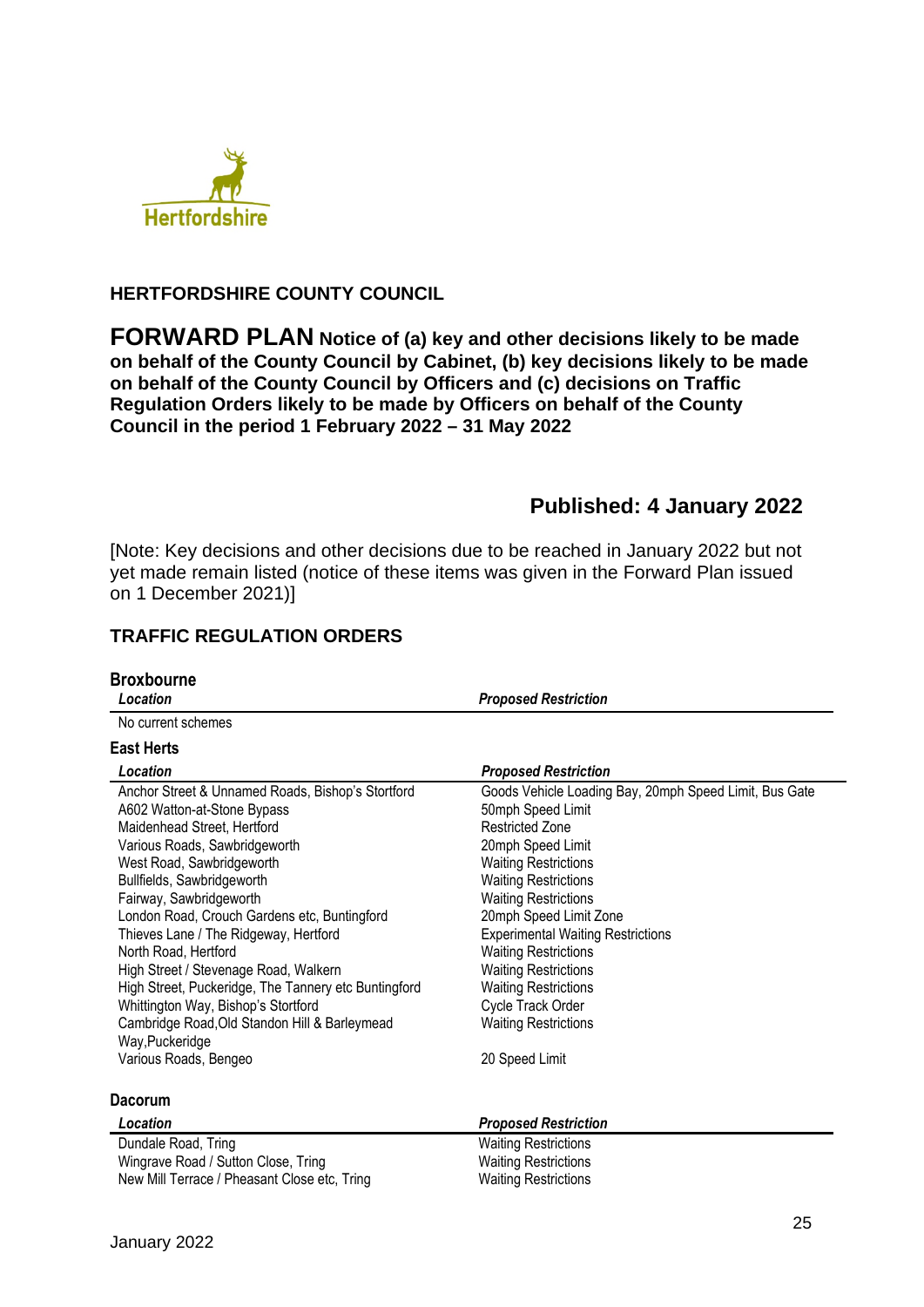

### **HERTFORDSHIRE COUNTY COUNCIL**

**FORWARD PLAN Notice of (a) key and other decisions likely to be made on behalf of the County Council by Cabinet, (b) key decisions likely to be made on behalf of the County Council by Officers and (c) decisions on Traffic Regulation Orders likely to be made by Officers on behalf of the County Council in the period 1 February 2022 – 31 May 2022** 

# **Published: 4 January 2022**

[Note: Key decisions and other decisions due to be reached in January 2022 but not yet made remain listed (notice of these items was given in the Forward Plan issued on 1 December 2021)]

## **TRAFFIC REGULATION ORDERS**

| <b>Broxbourne</b><br>Location                                                                                                                                                                                                                                                                                                                                                                                                                                                                                                                                                                | <b>Proposed Restriction</b>                                                                                                                                                                                                                                                                                                                                                                                                                                      |
|----------------------------------------------------------------------------------------------------------------------------------------------------------------------------------------------------------------------------------------------------------------------------------------------------------------------------------------------------------------------------------------------------------------------------------------------------------------------------------------------------------------------------------------------------------------------------------------------|------------------------------------------------------------------------------------------------------------------------------------------------------------------------------------------------------------------------------------------------------------------------------------------------------------------------------------------------------------------------------------------------------------------------------------------------------------------|
|                                                                                                                                                                                                                                                                                                                                                                                                                                                                                                                                                                                              |                                                                                                                                                                                                                                                                                                                                                                                                                                                                  |
| No current schemes                                                                                                                                                                                                                                                                                                                                                                                                                                                                                                                                                                           |                                                                                                                                                                                                                                                                                                                                                                                                                                                                  |
| <b>East Herts</b>                                                                                                                                                                                                                                                                                                                                                                                                                                                                                                                                                                            |                                                                                                                                                                                                                                                                                                                                                                                                                                                                  |
| Location                                                                                                                                                                                                                                                                                                                                                                                                                                                                                                                                                                                     | <b>Proposed Restriction</b>                                                                                                                                                                                                                                                                                                                                                                                                                                      |
| Anchor Street & Unnamed Roads, Bishop's Stortford<br>A602 Watton-at-Stone Bypass<br>Maidenhead Street, Hertford<br>Various Roads, Sawbridgeworth<br>West Road, Sawbridgeworth<br>Bullfields, Sawbridgeworth<br>Fairway, Sawbridgeworth<br>London Road, Crouch Gardens etc, Buntingford<br>Thieves Lane / The Ridgeway, Hertford<br>North Road, Hertford<br>High Street / Stevenage Road, Walkern<br>High Street, Puckeridge, The Tannery etc Buntingford<br>Whittington Way, Bishop's Stortford<br>Cambridge Road, Old Standon Hill & Barleymead<br>Way, Puckeridge<br>Various Roads, Bengeo | Goods Vehicle Loading Bay, 20mph Speed Limit, Bus Gate<br>50mph Speed Limit<br><b>Restricted Zone</b><br>20mph Speed Limit<br><b>Waiting Restrictions</b><br><b>Waiting Restrictions</b><br><b>Waiting Restrictions</b><br>20mph Speed Limit Zone<br><b>Experimental Waiting Restrictions</b><br><b>Waiting Restrictions</b><br><b>Waiting Restrictions</b><br><b>Waiting Restrictions</b><br>Cycle Track Order<br><b>Waiting Restrictions</b><br>20 Speed Limit |
|                                                                                                                                                                                                                                                                                                                                                                                                                                                                                                                                                                                              |                                                                                                                                                                                                                                                                                                                                                                                                                                                                  |
| <b>Dacorum</b>                                                                                                                                                                                                                                                                                                                                                                                                                                                                                                                                                                               |                                                                                                                                                                                                                                                                                                                                                                                                                                                                  |
| Location                                                                                                                                                                                                                                                                                                                                                                                                                                                                                                                                                                                     | <b>Proposed Restriction</b>                                                                                                                                                                                                                                                                                                                                                                                                                                      |
| Dundale Road, Tring                                                                                                                                                                                                                                                                                                                                                                                                                                                                                                                                                                          | <b>Waiting Restrictions</b>                                                                                                                                                                                                                                                                                                                                                                                                                                      |
| Wingrave Road / Sutton Close, Tring                                                                                                                                                                                                                                                                                                                                                                                                                                                                                                                                                          | <b>Waiting Restrictions</b>                                                                                                                                                                                                                                                                                                                                                                                                                                      |
| New Mill Terrace / Pheasant Close etc, Tring                                                                                                                                                                                                                                                                                                                                                                                                                                                                                                                                                 | <b>Waiting Restrictions</b>                                                                                                                                                                                                                                                                                                                                                                                                                                      |